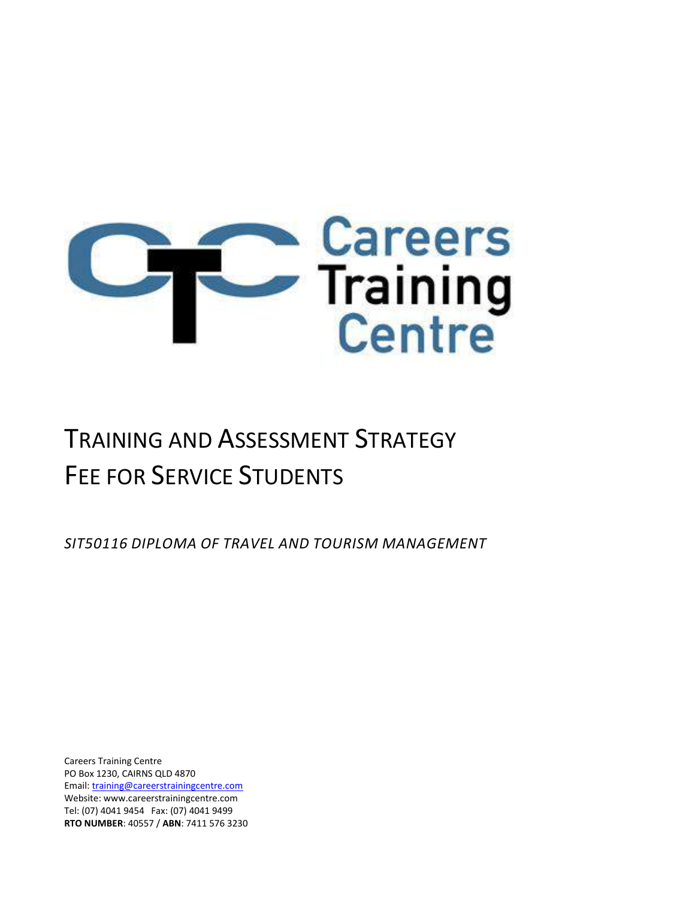

# TRAINING AND ASSESSMENT STRATEGY FEE FOR SERVICE STUDENTS

*SIT50116 DIPLOMA OF TRAVEL AND TOURISM MANAGEMENT*

Careers Training Centre PO Box 1230, CAIRNS QLD 4870 Email[: training@careerstrainingcentre.com](mailto:training@careerstrainingcentre.com) Website: www.careerstrainingcentre.com Tel: (07) 4041 9454 Fax: (07) 4041 9499 **RTO NUMBER**: 40557 / **ABN**: 7411 576 3230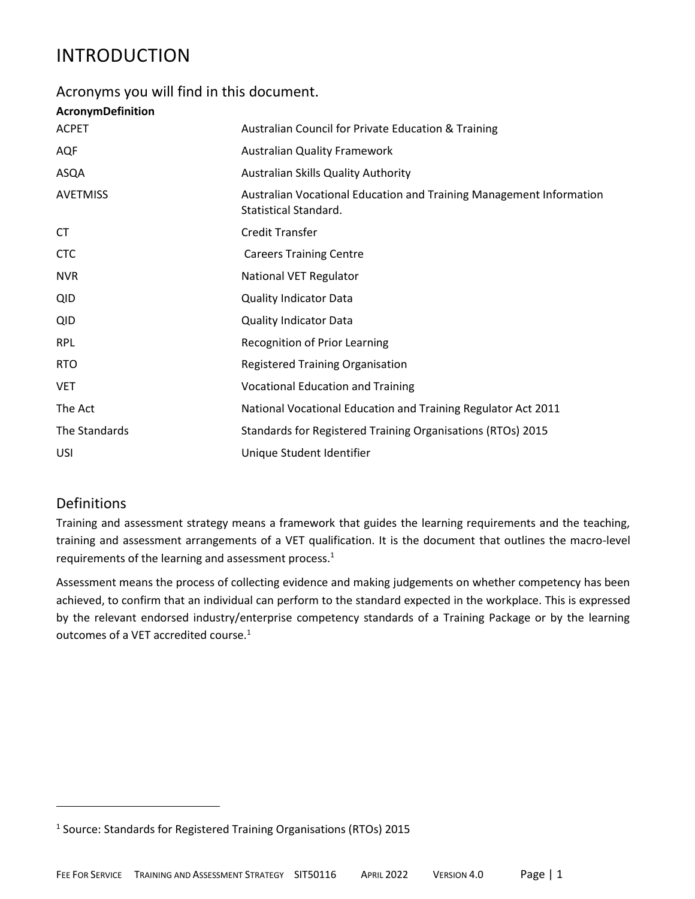# INTRODUCTION

### Acronyms you will find in this document.

### **AcronymDefinition**

| <b>ACPET</b>    | Australian Council for Private Education & Training                                          |
|-----------------|----------------------------------------------------------------------------------------------|
| AQF             | <b>Australian Quality Framework</b>                                                          |
| ASQA            | Australian Skills Quality Authority                                                          |
| <b>AVETMISS</b> | Australian Vocational Education and Training Management Information<br>Statistical Standard. |
| СT              | <b>Credit Transfer</b>                                                                       |
| <b>CTC</b>      | <b>Careers Training Centre</b>                                                               |
| <b>NVR</b>      | <b>National VET Regulator</b>                                                                |
| <b>QID</b>      | <b>Quality Indicator Data</b>                                                                |
| <b>QID</b>      | <b>Quality Indicator Data</b>                                                                |
| <b>RPL</b>      | Recognition of Prior Learning                                                                |
| <b>RTO</b>      | <b>Registered Training Organisation</b>                                                      |
| <b>VET</b>      | <b>Vocational Education and Training</b>                                                     |
| The Act         | National Vocational Education and Training Regulator Act 2011                                |
| The Standards   | Standards for Registered Training Organisations (RTOs) 2015                                  |
| <b>USI</b>      | Unique Student Identifier                                                                    |

# Definitions

Training and assessment strategy means a framework that guides the learning requirements and the teaching, training and assessment arrangements of a VET qualification. It is the document that outlines the macro-level requirements of the learning and assessment process.<sup>1</sup>

Assessment means the process of collecting evidence and making judgements on whether competency has been achieved, to confirm that an individual can perform to the standard expected in the workplace. This is expressed by the relevant endorsed industry/enterprise competency standards of a Training Package or by the learning outcomes of a VET accredited course.<sup>1</sup>

<sup>&</sup>lt;sup>1</sup> Source: Standards for Registered Training Organisations (RTOs) 2015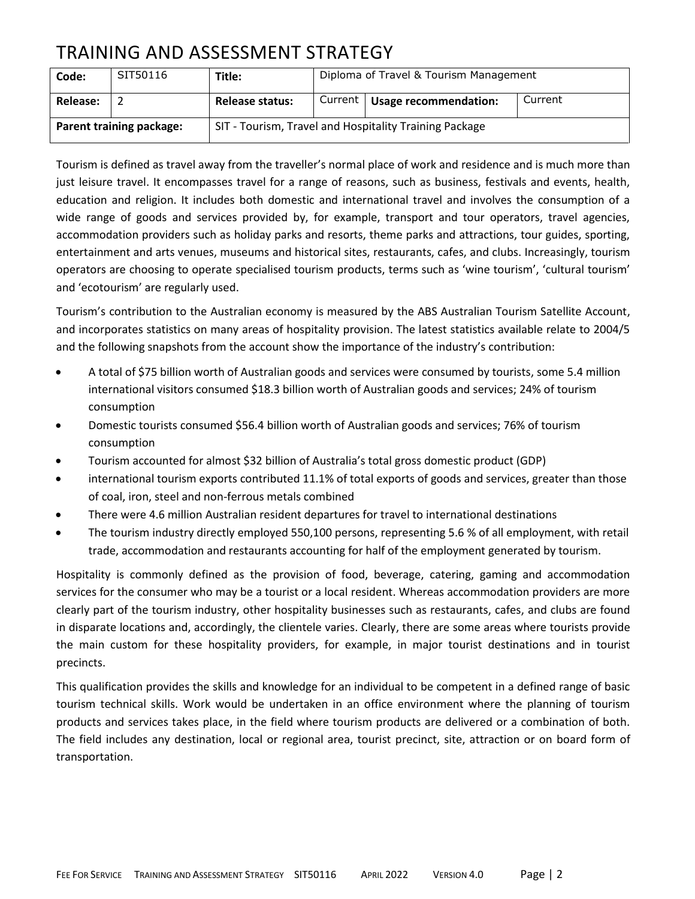# TRAINING AND ASSESSMENT STRATEGY

| Code:                           | SIT50116 | Title:                 | Diploma of Travel & Tourism Management                 |                                 |         |
|---------------------------------|----------|------------------------|--------------------------------------------------------|---------------------------------|---------|
| Release:                        |          | <b>Release status:</b> |                                                        | Current   Usage recommendation: | Current |
| <b>Parent training package:</b> |          |                        | SIT - Tourism, Travel and Hospitality Training Package |                                 |         |

Tourism is defined as travel away from the traveller's normal place of work and residence and is much more than just leisure travel. It encompasses travel for a range of reasons, such as business, festivals and events, health, education and religion. It includes both domestic and international travel and involves the consumption of a wide range of goods and services provided by, for example, transport and tour operators, travel agencies, accommodation providers such as holiday parks and resorts, theme parks and attractions, tour guides, sporting, entertainment and arts venues, museums and historical sites, restaurants, cafes, and clubs. Increasingly, tourism operators are choosing to operate specialised tourism products, terms such as 'wine tourism', 'cultural tourism' and 'ecotourism' are regularly used.

Tourism's contribution to the Australian economy is measured by the ABS Australian Tourism Satellite Account, and incorporates statistics on many areas of hospitality provision. The latest statistics available relate to 2004/5 and the following snapshots from the account show the importance of the industry's contribution:

- A total of \$75 billion worth of Australian goods and services were consumed by tourists, some 5.4 million international visitors consumed \$18.3 billion worth of Australian goods and services; 24% of tourism consumption
- Domestic tourists consumed \$56.4 billion worth of Australian goods and services; 76% of tourism consumption
- Tourism accounted for almost \$32 billion of Australia's total gross domestic product (GDP)
- international tourism exports contributed 11.1% of total exports of goods and services, greater than those of coal, iron, steel and non-ferrous metals combined
- There were 4.6 million Australian resident departures for travel to international destinations
- The tourism industry directly employed 550,100 persons, representing 5.6 % of all employment, with retail trade, accommodation and restaurants accounting for half of the employment generated by tourism.

Hospitality is commonly defined as the provision of food, beverage, catering, gaming and accommodation services for the consumer who may be a tourist or a local resident. Whereas accommodation providers are more clearly part of the tourism industry, other hospitality businesses such as restaurants, cafes, and clubs are found in disparate locations and, accordingly, the clientele varies. Clearly, there are some areas where tourists provide the main custom for these hospitality providers, for example, in major tourist destinations and in tourist precincts.

This qualification provides the skills and knowledge for an individual to be competent in a defined range of basic tourism technical skills. Work would be undertaken in an office environment where the planning of tourism products and services takes place, in the field where tourism products are delivered or a combination of both. The field includes any destination, local or regional area, tourist precinct, site, attraction or on board form of transportation.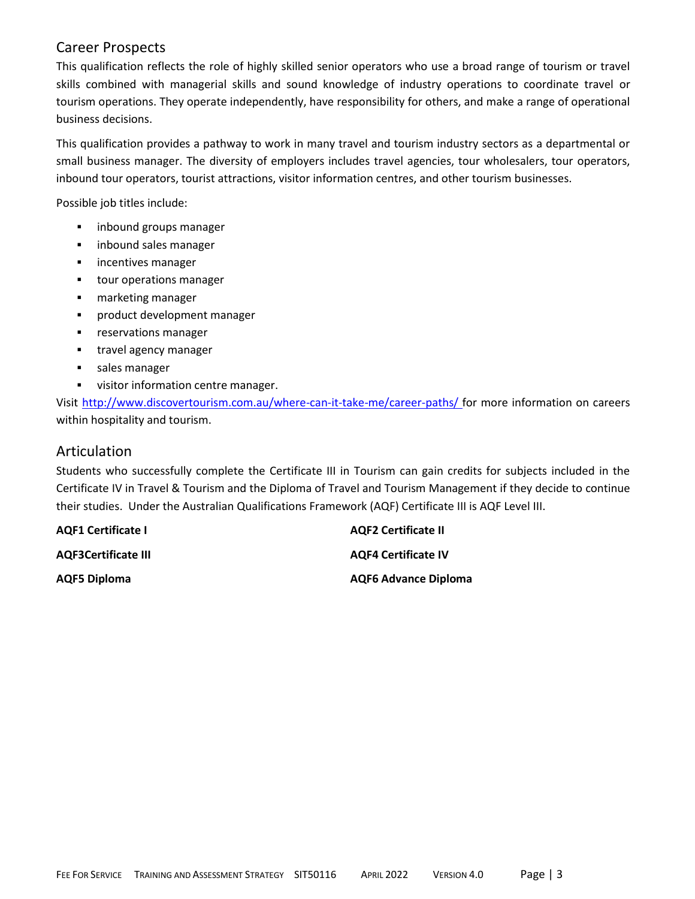### Career Prospects

This qualification reflects the role of highly skilled senior operators who use a broad range of tourism or travel skills combined with managerial skills and sound knowledge of industry operations to coordinate travel or tourism operations. They operate independently, have responsibility for others, and make a range of operational business decisions.

This qualification provides a pathway to work in many travel and tourism industry sectors as a departmental or small business manager. The diversity of employers includes travel agencies, tour wholesalers, tour operators, inbound tour operators, tourist attractions, visitor information centres, and other tourism businesses.

Possible job titles include:

- **■** inbound groups manager
- inbound sales manager
- **·** incentives manager
- tour operations manager
- marketing manager
- product development manager
- **■** reservations manager
- **■** travel agency manager
- sales manager
- **■** visitor information centre manager.

Visit<http://www.discovertourism.com.au/where-can-it-take-me/career-paths/> for more information on careers within hospitality and tourism.

### Articulation

Students who successfully complete the Certificate III in Tourism can gain credits for subjects included in the Certificate IV in Travel & Tourism and the Diploma of Travel and Tourism Management if they decide to continue their studies. Under the Australian Qualifications Framework (AQF) Certificate III is AQF Level III.

| <b>AQF1 Certificate I</b>  | <b>AQF2 Certificate II</b>  |
|----------------------------|-----------------------------|
| <b>AQF3Certificate III</b> | <b>AQF4 Certificate IV</b>  |
| <b>AQF5 Diploma</b>        | <b>AQF6 Advance Diploma</b> |

FEE FOR SERVICE TRAINING AND ASSESSMENT STRATEGY SIT50116 APRIL 2022 VERSION 4.0 Page | 3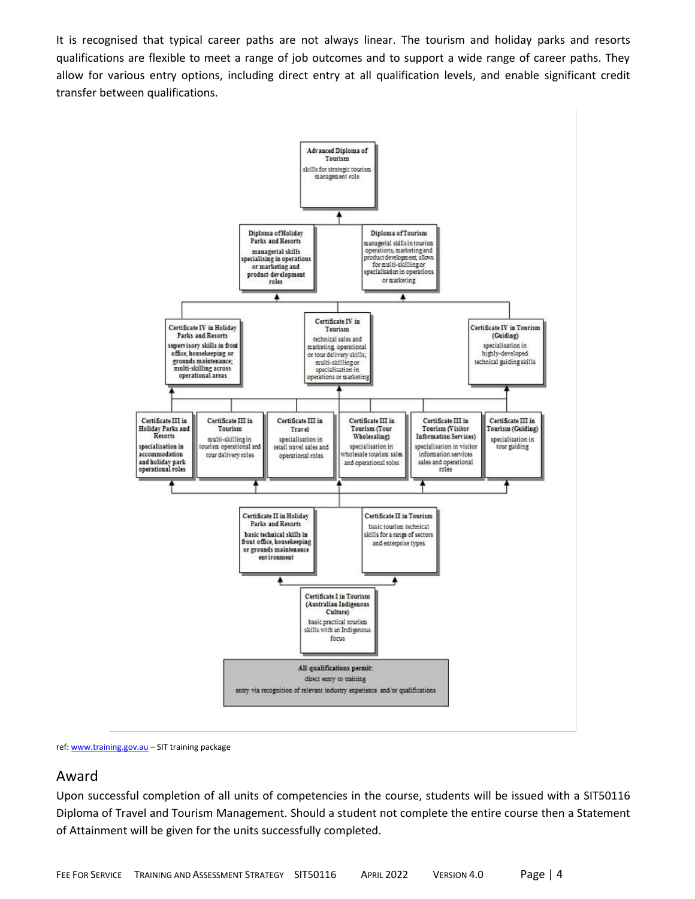It is recognised that typical career paths are not always linear. The tourism and holiday parks and resorts qualifications are flexible to meet a range of job outcomes and to support a wide range of career paths. They allow for various entry options, including direct entry at all qualification levels, and enable significant credit transfer between qualifications.



ref: [www.training.gov.au](http://www.training.gov.au/) – SIT training package

#### Award

Upon successful completion of all units of competencies in the course, students will be issued with a SIT50116 Diploma of Travel and Tourism Management. Should a student not complete the entire course then a Statement of Attainment will be given for the units successfully completed.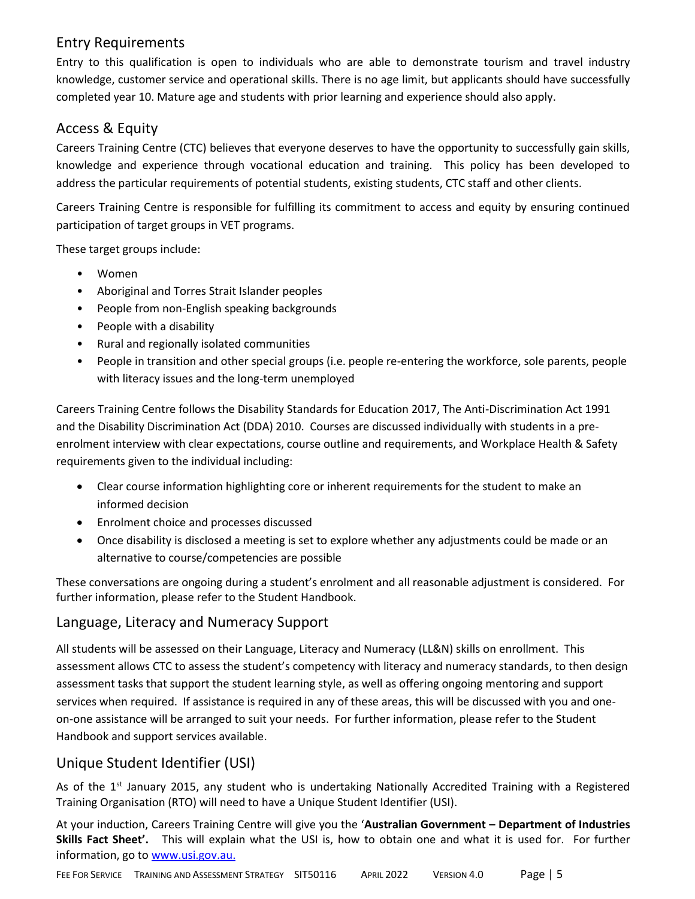# Entry Requirements

Entry to this qualification is open to individuals who are able to demonstrate tourism and travel industry knowledge, customer service and operational skills. There is no age limit, but applicants should have successfully completed year 10. Mature age and students with prior learning and experience should also apply.

# Access & Equity

Careers Training Centre (CTC) believes that everyone deserves to have the opportunity to successfully gain skills, knowledge and experience through vocational education and training. This policy has been developed to address the particular requirements of potential students, existing students, CTC staff and other clients.

Careers Training Centre is responsible for fulfilling its commitment to access and equity by ensuring continued participation of target groups in VET programs.

These target groups include:

- Women
- Aboriginal and Torres Strait Islander peoples
- People from non-English speaking backgrounds
- People with a disability
- Rural and regionally isolated communities
- People in transition and other special groups (i.e. people re-entering the workforce, sole parents, people with literacy issues and the long-term unemployed

Careers Training Centre follows the Disability Standards for Education 2017, The Anti-Discrimination Act 1991 and the Disability Discrimination Act (DDA) 2010. Courses are discussed individually with students in a preenrolment interview with clear expectations, course outline and requirements, and Workplace Health & Safety requirements given to the individual including:

- Clear course information highlighting core or inherent requirements for the student to make an informed decision
- Enrolment choice and processes discussed
- Once disability is disclosed a meeting is set to explore whether any adjustments could be made or an alternative to course/competencies are possible

These conversations are ongoing during a student's enrolment and all reasonable adjustment is considered. For further information, please refer to the Student Handbook.

# Language, Literacy and Numeracy Support

All students will be assessed on their Language, Literacy and Numeracy (LL&N) skills on enrollment. This assessment allows CTC to assess the student's competency with literacy and numeracy standards, to then design assessment tasks that support the student learning style, as well as offering ongoing mentoring and support services when required. If assistance is required in any of these areas, this will be discussed with you and oneon-one assistance will be arranged to suit your needs. For further information, please refer to the Student Handbook and support services available.

# Unique Student Identifier (USI)

As of the 1<sup>st</sup> January 2015, any student who is undertaking Nationally Accredited Training with a Registered Training Organisation (RTO) will need to have a Unique Student Identifier (USI).

At your induction, Careers Training Centre will give you the '**Australian Government – Department of Industries Skills Fact Sheet'.** This will explain what the USI is, how to obtain one and what it is used for. For further information, go to [www.usi.gov.au.](http://www.usi.gov.au/)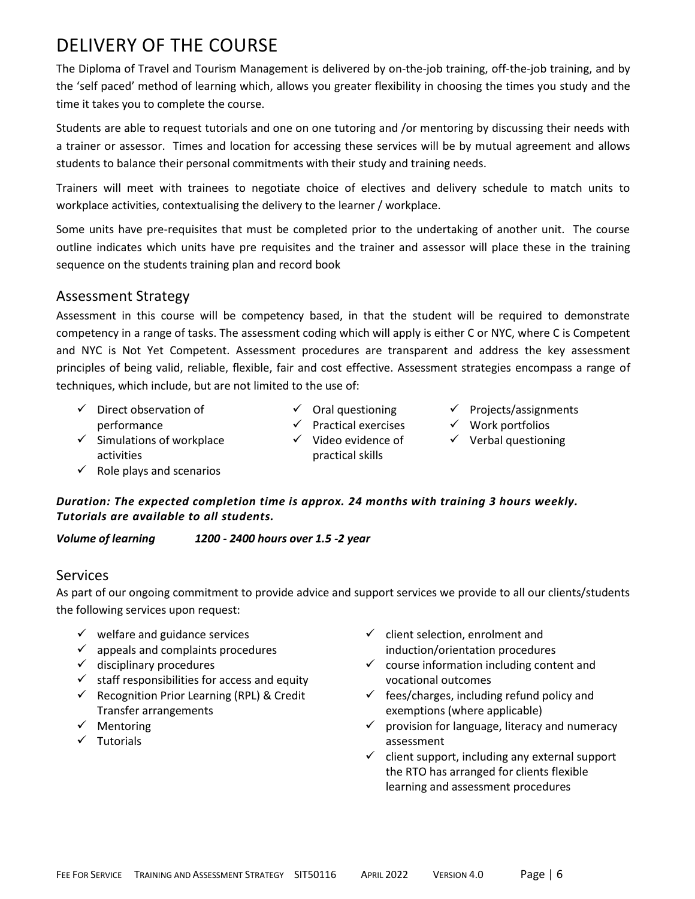# DELIVERY OF THE COURSE

The Diploma of Travel and Tourism Management is delivered by on-the-job training, off-the-job training, and by the 'self paced' method of learning which, allows you greater flexibility in choosing the times you study and the time it takes you to complete the course.

Students are able to request tutorials and one on one tutoring and /or mentoring by discussing their needs with a trainer or assessor. Times and location for accessing these services will be by mutual agreement and allows students to balance their personal commitments with their study and training needs.

Trainers will meet with trainees to negotiate choice of electives and delivery schedule to match units to workplace activities, contextualising the delivery to the learner / workplace.

Some units have pre-requisites that must be completed prior to the undertaking of another unit. The course outline indicates which units have pre requisites and the trainer and assessor will place these in the training sequence on the students training plan and record book

### Assessment Strategy

Assessment in this course will be competency based, in that the student will be required to demonstrate competency in a range of tasks. The assessment coding which will apply is either C or NYC, where C is Competent and NYC is Not Yet Competent. Assessment procedures are transparent and address the key assessment principles of being valid, reliable, flexible, fair and cost effective. Assessment strategies encompass a range of techniques, which include, but are not limited to the use of:

- ✓ Direct observation of performance
- $\checkmark$  Oral questioning
- ✓ Practical exercises ✓ Video evidence of practical skills
- ✓ Projects/assignments
- ✓ Work portfolios
- $\checkmark$  Verbal questioning
- $\checkmark$  Simulations of workplace activities
- $\checkmark$  Role plays and scenarios
- *Duration: The expected completion time is approx. 24 months with training 3 hours weekly. Tutorials are available to all students.*

*Volume of learning 1200 - 2400 hours over 1.5 -2 year*

# Services

As part of our ongoing commitment to provide advice and support services we provide to all our clients/students the following services upon request:

- $\checkmark$  welfare and guidance services
- $\checkmark$  appeals and complaints procedures
- $\checkmark$  disciplinary procedures
- $\checkmark$  staff responsibilities for access and equity
- $\checkmark$  Recognition Prior Learning (RPL) & Credit Transfer arrangements
- ✓ Mentoring
- ✓ Tutorials
- $\checkmark$  client selection, enrolment and induction/orientation procedures
- $\checkmark$  course information including content and vocational outcomes
- $\checkmark$  fees/charges, including refund policy and exemptions (where applicable)
- $\checkmark$  provision for language, literacy and numeracy assessment
- $\checkmark$  client support, including any external support the RTO has arranged for clients flexible learning and assessment procedures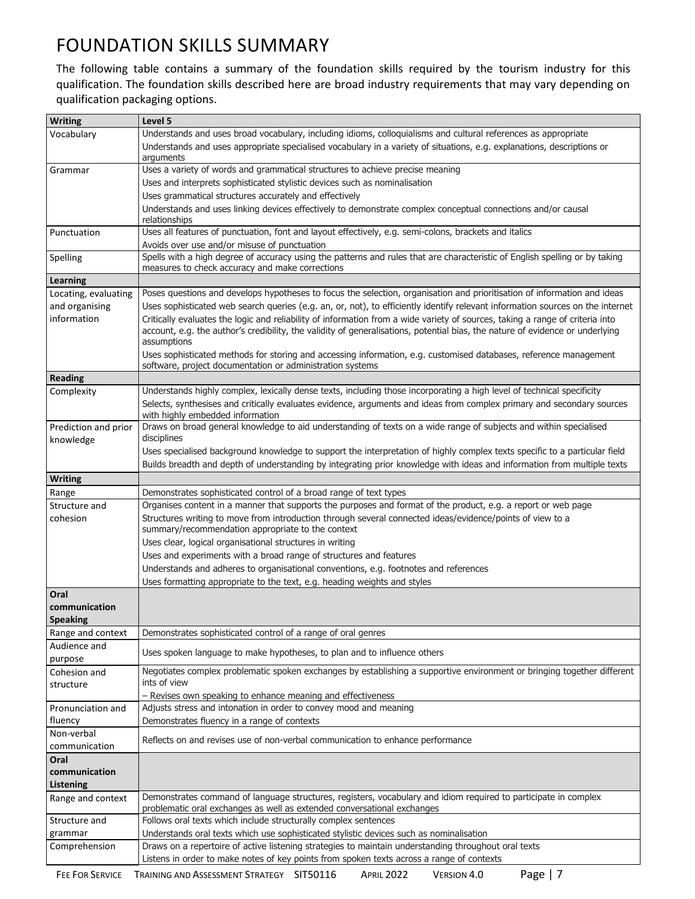# FOUNDATION SKILLS SUMMARY

The following table contains a summary of the foundation skills required by the tourism industry for this qualification. The foundation skills described here are broad industry requirements that may vary depending on qualification packaging options.

| <b>Writing</b>                            | Level 5                                                                                                                                                                                                                                                                       |
|-------------------------------------------|-------------------------------------------------------------------------------------------------------------------------------------------------------------------------------------------------------------------------------------------------------------------------------|
| Vocabulary                                | Understands and uses broad vocabulary, including idioms, colloquialisms and cultural references as appropriate                                                                                                                                                                |
|                                           | Understands and uses appropriate specialised vocabulary in a variety of situations, e.g. explanations, descriptions or                                                                                                                                                        |
|                                           | arguments                                                                                                                                                                                                                                                                     |
| Grammar                                   | Uses a variety of words and grammatical structures to achieve precise meaning                                                                                                                                                                                                 |
|                                           | Uses and interprets sophisticated stylistic devices such as nominalisation                                                                                                                                                                                                    |
|                                           | Uses grammatical structures accurately and effectively                                                                                                                                                                                                                        |
|                                           | Understands and uses linking devices effectively to demonstrate complex conceptual connections and/or causal                                                                                                                                                                  |
|                                           | relationships                                                                                                                                                                                                                                                                 |
| Punctuation                               | Uses all features of punctuation, font and layout effectively, e.g. semi-colons, brackets and italics                                                                                                                                                                         |
|                                           | Avoids over use and/or misuse of punctuation                                                                                                                                                                                                                                  |
| Spelling                                  | Spells with a high degree of accuracy using the patterns and rules that are characteristic of English spelling or by taking                                                                                                                                                   |
|                                           | measures to check accuracy and make corrections                                                                                                                                                                                                                               |
| Learning                                  |                                                                                                                                                                                                                                                                               |
| Locating, evaluating                      | Poses questions and develops hypotheses to focus the selection, organisation and prioritisation of information and ideas                                                                                                                                                      |
| and organising                            | Uses sophisticated web search queries (e.g. an, or, not), to efficiently identify relevant information sources on the internet                                                                                                                                                |
| information                               | Critically evaluates the logic and reliability of information from a wide variety of sources, taking a range of criteria into<br>account, e.g. the author's credibility, the validity of generalisations, potential bias, the nature of evidence or underlying<br>assumptions |
|                                           | Uses sophisticated methods for storing and accessing information, e.g. customised databases, reference management<br>software, project documentation or administration systems                                                                                                |
| <b>Reading</b>                            |                                                                                                                                                                                                                                                                               |
| Complexity                                | Understands highly complex, lexically dense texts, including those incorporating a high level of technical specificity                                                                                                                                                        |
|                                           | Selects, synthesises and critically evaluates evidence, arguments and ideas from complex primary and secondary sources<br>with highly embedded information                                                                                                                    |
| Prediction and prior                      | Draws on broad general knowledge to aid understanding of texts on a wide range of subjects and within specialised                                                                                                                                                             |
| knowledge                                 | disciplines                                                                                                                                                                                                                                                                   |
|                                           | Uses specialised background knowledge to support the interpretation of highly complex texts specific to a particular field<br>Builds breadth and depth of understanding by integrating prior knowledge with ideas and information from multiple texts                         |
| <b>Writing</b>                            |                                                                                                                                                                                                                                                                               |
| Range                                     | Demonstrates sophisticated control of a broad range of text types                                                                                                                                                                                                             |
| Structure and                             | Organises content in a manner that supports the purposes and format of the product, e.g. a report or web page                                                                                                                                                                 |
| cohesion                                  | Structures writing to move from introduction through several connected ideas/evidence/points of view to a<br>summary/recommendation appropriate to the context                                                                                                                |
|                                           | Uses clear, logical organisational structures in writing                                                                                                                                                                                                                      |
|                                           | Uses and experiments with a broad range of structures and features                                                                                                                                                                                                            |
|                                           | Understands and adheres to organisational conventions, e.g. footnotes and references                                                                                                                                                                                          |
|                                           | Uses formatting appropriate to the text, e.g. heading weights and styles                                                                                                                                                                                                      |
| Oral                                      |                                                                                                                                                                                                                                                                               |
| communication                             |                                                                                                                                                                                                                                                                               |
| <b>Speaking</b>                           |                                                                                                                                                                                                                                                                               |
| Range and context                         | Demonstrates sophisticated control of a range of oral genres                                                                                                                                                                                                                  |
| Audience and<br>purpose                   | Uses spoken language to make hypotheses, to plan and to influence others                                                                                                                                                                                                      |
| Cohesion and<br>structure                 | Negotiates complex problematic spoken exchanges by establishing a supportive environment or bringing together different<br>ints of view                                                                                                                                       |
|                                           | - Revises own speaking to enhance meaning and effectiveness                                                                                                                                                                                                                   |
| Pronunciation and                         | Adjusts stress and intonation in order to convey mood and meaning                                                                                                                                                                                                             |
| fluency                                   | Demonstrates fluency in a range of contexts                                                                                                                                                                                                                                   |
| Non-verbal                                | Reflects on and revises use of non-verbal communication to enhance performance                                                                                                                                                                                                |
| communication                             |                                                                                                                                                                                                                                                                               |
| Oral<br>communication<br><b>Listening</b> |                                                                                                                                                                                                                                                                               |
| Range and context                         | Demonstrates command of language structures, registers, vocabulary and idiom required to participate in complex<br>problematic oral exchanges as well as extended conversational exchanges                                                                                    |
| Structure and                             | Follows oral texts which include structurally complex sentences                                                                                                                                                                                                               |
| grammar                                   | Understands oral texts which use sophisticated stylistic devices such as nominalisation                                                                                                                                                                                       |
| Comprehension                             | Draws on a repertoire of active listening strategies to maintain understanding throughout oral texts                                                                                                                                                                          |
|                                           | Listens in order to make notes of key points from spoken texts across a range of contexts                                                                                                                                                                                     |
|                                           |                                                                                                                                                                                                                                                                               |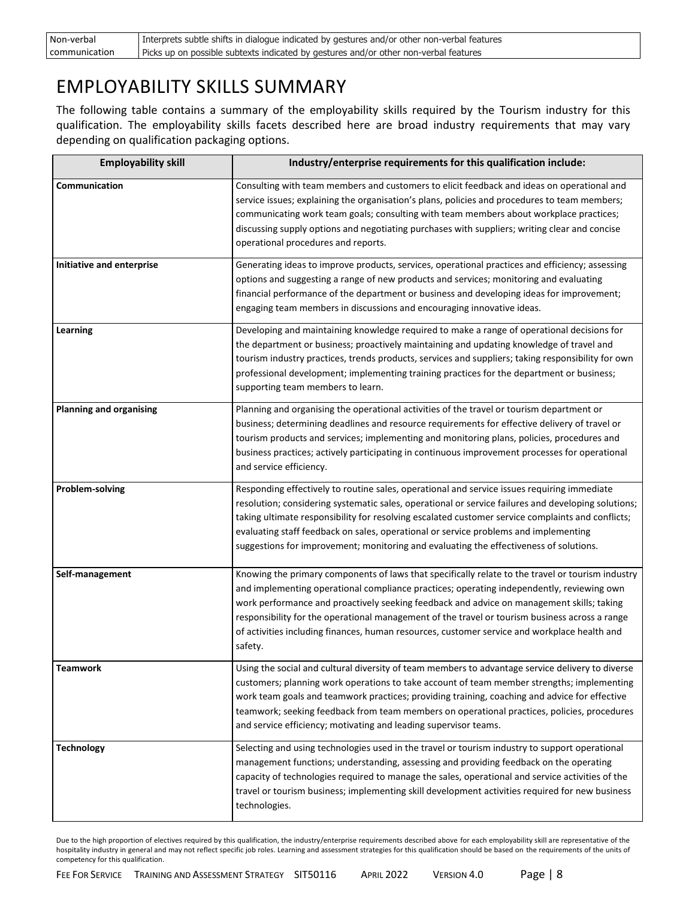| Non-verbal    | Interprets subtle shifts in dialogue indicated by gestures and/or other non-verbal features |
|---------------|---------------------------------------------------------------------------------------------|
| communication | Picks up on possible subtexts indicated by gestures and/or other non-verbal features        |

# EMPLOYABILITY SKILLS SUMMARY

The following table contains a summary of the employability skills required by the Tourism industry for this qualification. The employability skills facets described here are broad industry requirements that may vary depending on qualification packaging options.

| <b>Employability skill</b>     | Industry/enterprise requirements for this qualification include:                                                                                                                                                                                                                                                                                                                                                                                                                                         |  |  |  |
|--------------------------------|----------------------------------------------------------------------------------------------------------------------------------------------------------------------------------------------------------------------------------------------------------------------------------------------------------------------------------------------------------------------------------------------------------------------------------------------------------------------------------------------------------|--|--|--|
| Communication                  | Consulting with team members and customers to elicit feedback and ideas on operational and<br>service issues; explaining the organisation's plans, policies and procedures to team members;<br>communicating work team goals; consulting with team members about workplace practices;<br>discussing supply options and negotiating purchases with suppliers; writing clear and concise<br>operational procedures and reports.                                                                            |  |  |  |
| Initiative and enterprise      | Generating ideas to improve products, services, operational practices and efficiency; assessing<br>options and suggesting a range of new products and services; monitoring and evaluating<br>financial performance of the department or business and developing ideas for improvement;<br>engaging team members in discussions and encouraging innovative ideas.                                                                                                                                         |  |  |  |
| Learning                       | Developing and maintaining knowledge required to make a range of operational decisions for<br>the department or business; proactively maintaining and updating knowledge of travel and<br>tourism industry practices, trends products, services and suppliers; taking responsibility for own<br>professional development; implementing training practices for the department or business;<br>supporting team members to learn.                                                                           |  |  |  |
| <b>Planning and organising</b> | Planning and organising the operational activities of the travel or tourism department or<br>business; determining deadlines and resource requirements for effective delivery of travel or<br>tourism products and services; implementing and monitoring plans, policies, procedures and<br>business practices; actively participating in continuous improvement processes for operational<br>and service efficiency.                                                                                    |  |  |  |
| Problem-solving                | Responding effectively to routine sales, operational and service issues requiring immediate<br>resolution; considering systematic sales, operational or service failures and developing solutions;<br>taking ultimate responsibility for resolving escalated customer service complaints and conflicts;<br>evaluating staff feedback on sales, operational or service problems and implementing<br>suggestions for improvement; monitoring and evaluating the effectiveness of solutions.                |  |  |  |
| Self-management                | Knowing the primary components of laws that specifically relate to the travel or tourism industry<br>and implementing operational compliance practices; operating independently, reviewing own<br>work performance and proactively seeking feedback and advice on management skills; taking<br>responsibility for the operational management of the travel or tourism business across a range<br>of activities including finances, human resources, customer service and workplace health and<br>safety. |  |  |  |
| <b>Teamwork</b>                | Using the social and cultural diversity of team members to advantage service delivery to diverse<br>customers; planning work operations to take account of team member strengths; implementing<br>work team goals and teamwork practices; providing training, coaching and advice for effective<br>teamwork; seeking feedback from team members on operational practices, policies, procedures<br>and service efficiency; motivating and leading supervisor teams.                                       |  |  |  |
| <b>Technology</b>              | Selecting and using technologies used in the travel or tourism industry to support operational<br>management functions; understanding, assessing and providing feedback on the operating<br>capacity of technologies required to manage the sales, operational and service activities of the<br>travel or tourism business; implementing skill development activities required for new business<br>technologies.                                                                                         |  |  |  |

Due to the high proportion of electives required by this qualification, the industry/enterprise requirements described above for each employability skill are representative of the hospitality industry in general and may not reflect specific job roles. Learning and assessment strategies for this qualification should be based on the requirements of the units of competency for this qualification.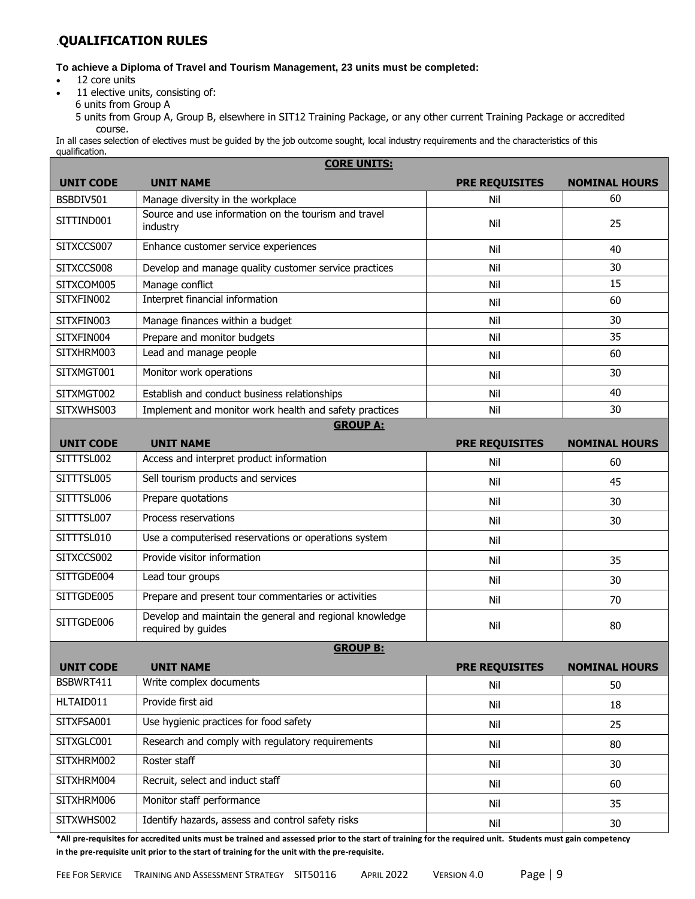### .**QUALIFICATION RULES**

#### **To achieve a Diploma of Travel and Tourism Management, 23 units must be completed:**

- 12 core units
- 11 elective units, consisting of:
	- 6 units from Group A

5 units from Group A, Group B, elsewhere in SIT12 Training Package, or any other current Training Package or accredited course.

In all cases selection of electives must be guided by the job outcome sought, local industry requirements and the characteristics of this qualification.

|                  | <b>CORE UNITS:</b>                                                                        |                       |                      |  |  |
|------------------|-------------------------------------------------------------------------------------------|-----------------------|----------------------|--|--|
| <b>UNIT CODE</b> | <b>UNIT NAME</b>                                                                          | <b>PRE REQUISITES</b> | <b>NOMINAL HOURS</b> |  |  |
| BSBDIV501        | Manage diversity in the workplace<br>Source and use information on the tourism and travel | Nil                   | 60                   |  |  |
| SITTIND001       | industry                                                                                  | Nil                   | 25                   |  |  |
| SITXCCS007       | Enhance customer service experiences                                                      | Nil                   | 40                   |  |  |
| SITXCCS008       | Develop and manage quality customer service practices                                     | Nil                   | 30                   |  |  |
| SITXCOM005       | Manage conflict                                                                           | Nil                   | 15                   |  |  |
| SITXFIN002       | Interpret financial information                                                           | Nil                   | 60                   |  |  |
| SITXFIN003       | Manage finances within a budget                                                           | Nil                   | 30                   |  |  |
| SITXFIN004       | Prepare and monitor budgets                                                               | Nil                   | 35                   |  |  |
| SITXHRM003       | Lead and manage people                                                                    | Nil                   | 60                   |  |  |
| SITXMGT001       | Monitor work operations                                                                   | Nil                   | 30                   |  |  |
| SITXMGT002       | Establish and conduct business relationships                                              | Nil                   | 40                   |  |  |
| SITXWHS003       | Implement and monitor work health and safety practices                                    | Nil                   | 30                   |  |  |
|                  | <b>GROUP A:</b>                                                                           |                       |                      |  |  |
| <b>UNIT CODE</b> | <b>UNIT NAME</b>                                                                          | <b>PRE REQUISITES</b> | <b>NOMINAL HOURS</b> |  |  |
| SITTTSL002       | Access and interpret product information                                                  | Nil                   | 60                   |  |  |
| SITTTSL005       | Sell tourism products and services                                                        | Nil                   | 45                   |  |  |
| SITTTSL006       | Prepare quotations                                                                        | Nil                   | 30                   |  |  |
| SITTTSL007       | Process reservations                                                                      | Nil                   | 30                   |  |  |
| SITTTSL010       | Use a computerised reservations or operations system                                      | Nil                   |                      |  |  |
| SITXCCS002       | Provide visitor information                                                               | Nil                   | 35                   |  |  |
| SITTGDE004       | Lead tour groups                                                                          | Nil                   | 30                   |  |  |
| SITTGDE005       | Prepare and present tour commentaries or activities                                       | Nil                   | 70                   |  |  |
| SITTGDE006       | Develop and maintain the general and regional knowledge<br>required by guides             | Nil                   | 80                   |  |  |
|                  | <b>GROUP B:</b>                                                                           |                       |                      |  |  |
| <b>UNIT CODE</b> | <b>UNIT NAME</b>                                                                          | <b>PRE REQUISITES</b> | <b>NOMINAL HOURS</b> |  |  |
| BSBWRT411        | Write complex documents                                                                   | Nil                   | 50                   |  |  |
| HLTAID011        | Provide first aid                                                                         | Nil                   | 18                   |  |  |
| SITXFSA001       | Use hygienic practices for food safety                                                    | Nil                   | 25                   |  |  |
| SITXGLC001       | Research and comply with regulatory requirements                                          | Nil                   | 80                   |  |  |
| SITXHRM002       | Roster staff                                                                              | Nil                   | 30                   |  |  |
| SITXHRM004       | Recruit, select and induct staff                                                          | Nil                   | 60                   |  |  |
| SITXHRM006       | Monitor staff performance                                                                 | Nil                   | 35                   |  |  |
| SITXWHS002       | Identify hazards, assess and control safety risks                                         | Nil                   | 30                   |  |  |
|                  |                                                                                           |                       |                      |  |  |

**\*All pre-requisites for accredited units must be trained and assessed prior to the start of training for the required unit. Students must gain competency in the pre-requisite unit prior to the start of training for the unit with the pre-requisite.**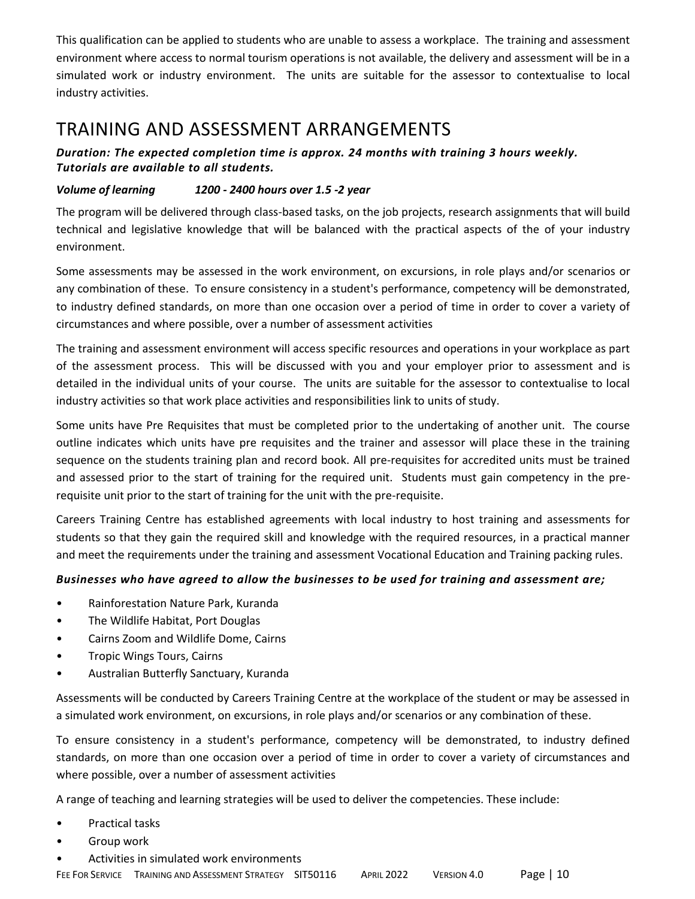This qualification can be applied to students who are unable to assess a workplace. The training and assessment environment where access to normal tourism operations is not available, the delivery and assessment will be in a simulated work or industry environment. The units are suitable for the assessor to contextualise to local industry activities.

# TRAINING AND ASSESSMENT ARRANGEMENTS

### *Duration: The expected completion time is approx. 24 months with training 3 hours weekly. Tutorials are available to all students.*

### *Volume of learning 1200 - 2400 hours over 1.5 -2 year*

The program will be delivered through class-based tasks, on the job projects, research assignments that will build technical and legislative knowledge that will be balanced with the practical aspects of the of your industry environment.

Some assessments may be assessed in the work environment, on excursions, in role plays and/or scenarios or any combination of these. To ensure consistency in a student's performance, competency will be demonstrated, to industry defined standards, on more than one occasion over a period of time in order to cover a variety of circumstances and where possible, over a number of assessment activities

The training and assessment environment will access specific resources and operations in your workplace as part of the assessment process. This will be discussed with you and your employer prior to assessment and is detailed in the individual units of your course. The units are suitable for the assessor to contextualise to local industry activities so that work place activities and responsibilities link to units of study.

Some units have Pre Requisites that must be completed prior to the undertaking of another unit. The course outline indicates which units have pre requisites and the trainer and assessor will place these in the training sequence on the students training plan and record book. All pre-requisites for accredited units must be trained and assessed prior to the start of training for the required unit. Students must gain competency in the prerequisite unit prior to the start of training for the unit with the pre-requisite.

Careers Training Centre has established agreements with local industry to host training and assessments for students so that they gain the required skill and knowledge with the required resources, in a practical manner and meet the requirements under the training and assessment Vocational Education and Training packing rules.

### *Businesses who have agreed to allow the businesses to be used for training and assessment are;*

- Rainforestation Nature Park, Kuranda
- The Wildlife Habitat, Port Douglas
- Cairns Zoom and Wildlife Dome, Cairns
- Tropic Wings Tours, Cairns
- Australian Butterfly Sanctuary, Kuranda

Assessments will be conducted by Careers Training Centre at the workplace of the student or may be assessed in a simulated work environment, on excursions, in role plays and/or scenarios or any combination of these.

To ensure consistency in a student's performance, competency will be demonstrated, to industry defined standards, on more than one occasion over a period of time in order to cover a variety of circumstances and where possible, over a number of assessment activities

A range of teaching and learning strategies will be used to deliver the competencies. These include:

- Practical tasks
- Group work
- Activities in simulated work environments

FEE FOR SERVICE TRAINING AND ASSESSMENT STRATEGY SIT50116 APRIL 2022 VERSION 4.0 Page | 10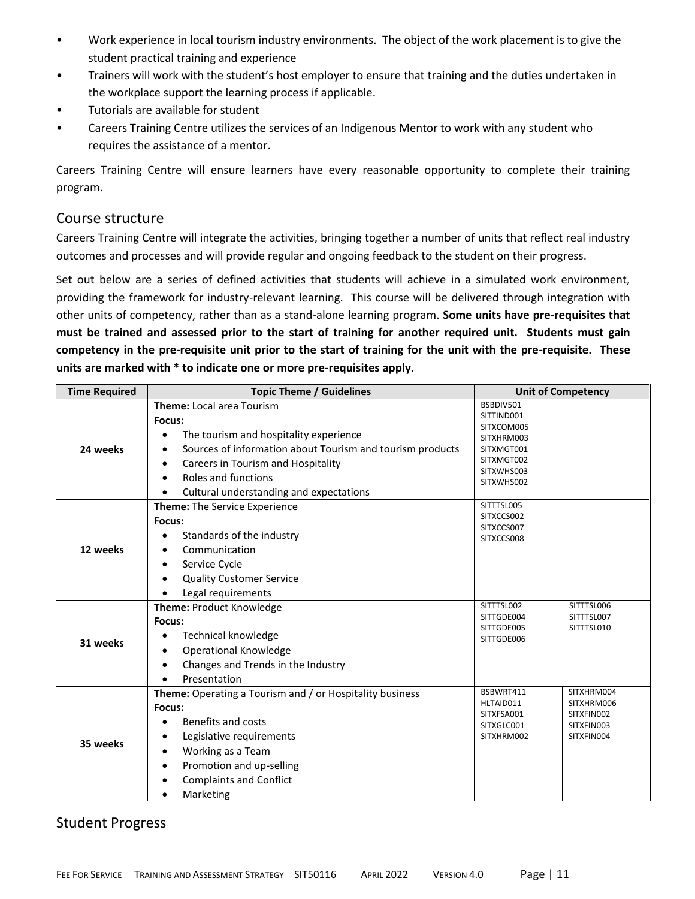- Work experience in local tourism industry environments. The object of the work placement is to give the student practical training and experience
- Trainers will work with the student's host employer to ensure that training and the duties undertaken in the workplace support the learning process if applicable.
- Tutorials are available for student
- Careers Training Centre utilizes the services of an Indigenous Mentor to work with any student who requires the assistance of a mentor.

Careers Training Centre will ensure learners have every reasonable opportunity to complete their training program.

### Course structure

Careers Training Centre will integrate the activities, bringing together a number of units that reflect real industry outcomes and processes and will provide regular and ongoing feedback to the student on their progress.

Set out below are a series of defined activities that students will achieve in a simulated work environment, providing the framework for industry-relevant learning. This course will be delivered through integration with other units of competency, rather than as a stand-alone learning program. **Some units have pre-requisites that must be trained and assessed prior to the start of training for another required unit. Students must gain competency in the pre-requisite unit prior to the start of training for the unit with the pre-requisite. These units are marked with \* to indicate one or more pre-requisites apply.**

| <b>Time Required</b> | <b>Topic Theme / Guidelines</b>                                                                                                                                                                                           |                                                                                               | <b>Unit of Competency</b>                                          |
|----------------------|---------------------------------------------------------------------------------------------------------------------------------------------------------------------------------------------------------------------------|-----------------------------------------------------------------------------------------------|--------------------------------------------------------------------|
| 24 weeks             | <b>Theme: Local area Tourism</b><br>Focus:<br>The tourism and hospitality experience<br>Sources of information about Tourism and tourism products<br>٠<br>Careers in Tourism and Hospitality<br>$\bullet$                 | BSBDIV501<br>SITTIND001<br>SITXCOM005<br>SITXHRM003<br>SITXMGT001<br>SITXMGT002<br>SITXWHS003 |                                                                    |
|                      | Roles and functions<br>Cultural understanding and expectations                                                                                                                                                            | SITXWHS002                                                                                    |                                                                    |
| 12 weeks             | <b>Theme:</b> The Service Experience<br>Focus:<br>Standards of the industry<br>Communication<br>Service Cycle<br>$\bullet$<br><b>Quality Customer Service</b><br>Legal requirements                                       | SITTTSL005<br>SITXCCS002<br>SITXCCS007<br>SITXCCS008                                          |                                                                    |
| 31 weeks             | <b>Theme: Product Knowledge</b><br>Focus:<br><b>Technical knowledge</b><br><b>Operational Knowledge</b><br>Changes and Trends in the Industry<br>Presentation                                                             | SITTTSL002<br>SITTGDE004<br>SITTGDE005<br>SITTGDE006                                          | SITTTSL006<br>SITTTSL007<br>SITTTSL010                             |
| 35 weeks             | Theme: Operating a Tourism and / or Hospitality business<br>Focus:<br>Benefits and costs<br>Legislative requirements<br>Working as a Team<br>٠<br>Promotion and up-selling<br><b>Complaints and Conflict</b><br>Marketing | BSBWRT411<br>HLTAID011<br>SITXFSA001<br>SITXGLC001<br>SITXHRM002                              | SITXHRM004<br>SITXHRM006<br>SITXFIN002<br>SITXFIN003<br>SITXFIN004 |

### Student Progress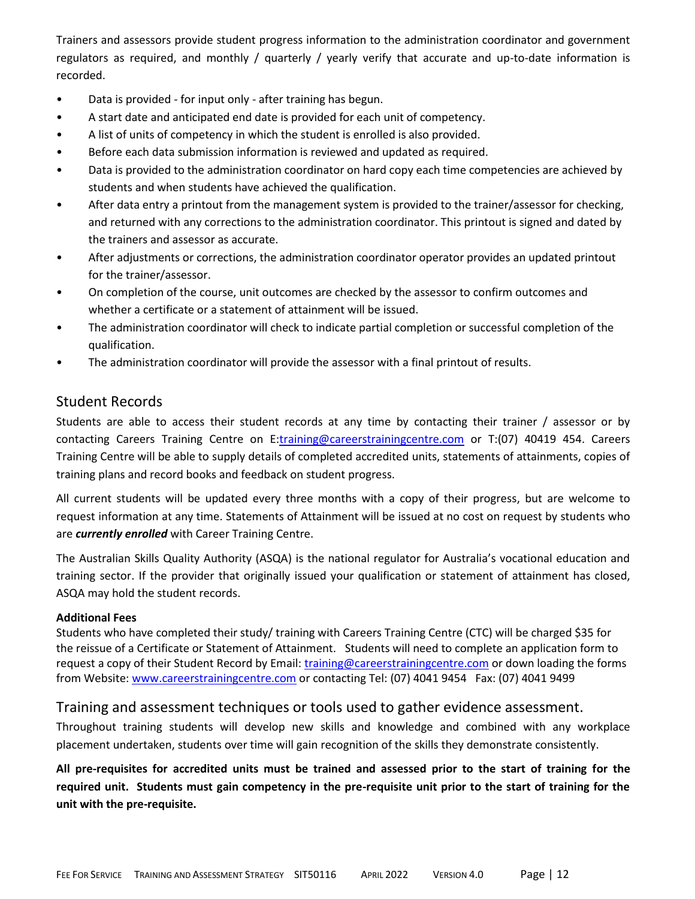Trainers and assessors provide student progress information to the administration coordinator and government regulators as required, and monthly / quarterly / yearly verify that accurate and up-to-date information is recorded.

- Data is provided for input only after training has begun.
- A start date and anticipated end date is provided for each unit of competency.
- A list of units of competency in which the student is enrolled is also provided.
- Before each data submission information is reviewed and updated as required.
- Data is provided to the administration coordinator on hard copy each time competencies are achieved by students and when students have achieved the qualification.
- After data entry a printout from the management system is provided to the trainer/assessor for checking, and returned with any corrections to the administration coordinator. This printout is signed and dated by the trainers and assessor as accurate.
- After adjustments or corrections, the administration coordinator operator provides an updated printout for the trainer/assessor.
- On completion of the course, unit outcomes are checked by the assessor to confirm outcomes and whether a certificate or a statement of attainment will be issued.
- The administration coordinator will check to indicate partial completion or successful completion of the qualification.
- The administration coordinator will provide the assessor with a final printout of results.

### Student Records

Students are able to access their student records at any time by contacting their trainer / assessor or by contacting Careers Training Centre on E[:training@careerstrainingcentre.com](mailto:training@careerstrainingcentre.com) or T:(07) 40419 454. Careers Training Centre will be able to supply details of completed accredited units, statements of attainments, copies of training plans and record books and feedback on student progress.

All current students will be updated every three months with a copy of their progress, but are welcome to request information at any time. Statements of Attainment will be issued at no cost on request by students who are *currently enrolled* with Career Training Centre.

The Australian Skills Quality Authority (ASQA) is the national regulator for Australia's vocational education and training sector. If the provider that originally issued your qualification or statement of attainment has closed, ASQA may hold the student records.

#### **Additional Fees**

Students who have completed their study/ training with Careers Training Centre (CTC) will be charged \$35 for the reissue of a Certificate or Statement of Attainment. Students will need to complete an application form to request a copy of their Student Record by Email: [training@careerstrainingcentre.com](mailto:training@careerstrainingcentre.com) or down loading the forms from Website: [www.careerstrainingcentre.com](http://www.careerstrainingcentre.com/) or contacting Tel: (07) 4041 9454 Fax: (07) 4041 9499

### Training and assessment techniques or tools used to gather evidence assessment.

Throughout training students will develop new skills and knowledge and combined with any workplace placement undertaken, students over time will gain recognition of the skills they demonstrate consistently.

**All pre-requisites for accredited units must be trained and assessed prior to the start of training for the required unit. Students must gain competency in the pre-requisite unit prior to the start of training for the unit with the pre-requisite.**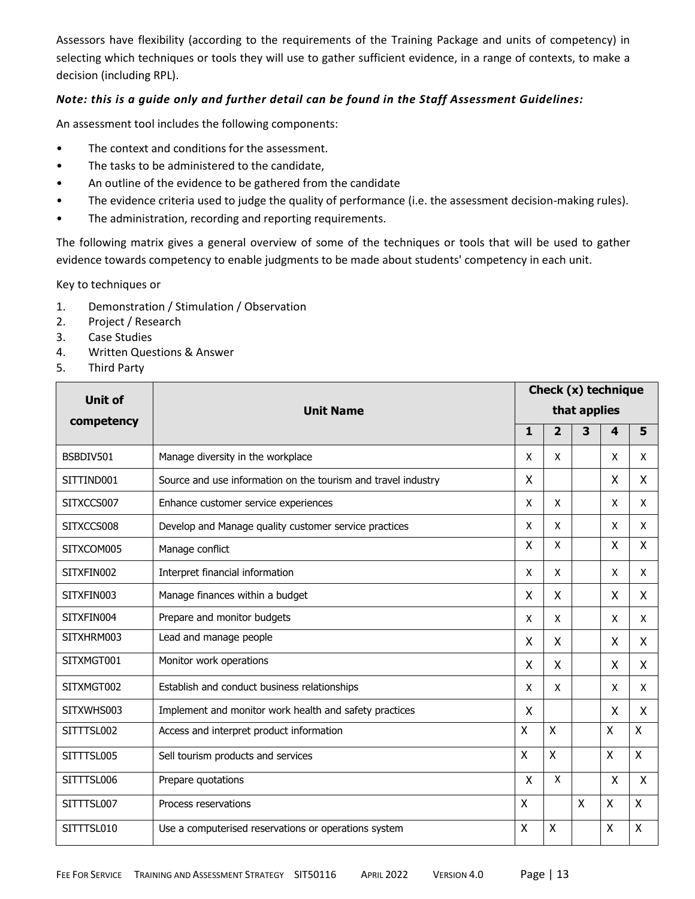Assessors have flexibility (according to the requirements of the Training Package and units of competency) in selecting which techniques or tools they will use to gather sufficient evidence, in a range of contexts, to make a decision (including RPL).

### *Note: this is a guide only and further detail can be found in the Staff Assessment Guidelines:*

An assessment tool includes the following components:

- The context and conditions for the assessment.
- The tasks to be administered to the candidate,
- An outline of the evidence to be gathered from the candidate
- The evidence criteria used to judge the quality of performance (i.e. the assessment decision-making rules).
- The administration, recording and reporting requirements.

The following matrix gives a general overview of some of the techniques or tools that will be used to gather evidence towards competency to enable judgments to be made about students' competency in each unit.

Key to techniques or

- 1. Demonstration / Stimulation / Observation
- 2. Project / Research
- 3. Case Studies
- 4. Written Questions & Answer
- 5. Third Party

| <b>Unit of</b> |                                                               |              |                           |   | Check (x) technique       |              |  |  |
|----------------|---------------------------------------------------------------|--------------|---------------------------|---|---------------------------|--------------|--|--|
| competency     | <b>Unit Name</b>                                              |              | that applies              |   |                           |              |  |  |
|                |                                                               | 1            | $\overline{2}$            | 3 | $\overline{\mathbf{4}}$   | 5            |  |  |
| BSBDIV501      | Manage diversity in the workplace                             | x            | X                         |   | X                         | X            |  |  |
| SITTIND001     | Source and use information on the tourism and travel industry | X            |                           |   | X                         | X            |  |  |
| SITXCCS007     | Enhance customer service experiences                          | X            | X                         |   | X                         | X            |  |  |
| SITXCCS008     | Develop and Manage quality customer service practices         | X            | X                         |   | X                         | X            |  |  |
| SITXCOM005     | Manage conflict                                               | $\mathsf{x}$ | X                         |   | $\boldsymbol{\mathsf{X}}$ | $\mathsf{X}$ |  |  |
| SITXFIN002     | Interpret financial information                               | X            | X                         |   | X                         | X            |  |  |
| SITXFIN003     | Manage finances within a budget                               | X            | Χ                         |   | X                         | X            |  |  |
| SITXFIN004     | Prepare and monitor budgets                                   | X            | X                         |   | X                         | X            |  |  |
| SITXHRM003     | Lead and manage people                                        | X            | X                         |   | X                         | X            |  |  |
| SITXMGT001     | Monitor work operations                                       | X            | X                         |   | X                         | X            |  |  |
| SITXMGT002     | Establish and conduct business relationships                  | X            | X                         |   | X                         | X            |  |  |
| SITXWHS003     | Implement and monitor work health and safety practices        | X            |                           |   | X                         | X            |  |  |
| SITTTSL002     | Access and interpret product information                      | X            | X                         |   | Χ                         | X            |  |  |
| SITTTSL005     | Sell tourism products and services                            | $\mathsf{X}$ | $\times$                  |   | X                         | X            |  |  |
| SITTTSL006     | Prepare quotations                                            | X            | X                         |   | X                         | X            |  |  |
| SITTTSL007     | Process reservations                                          | X            |                           | X | Χ                         | X            |  |  |
| SITTTSL010     | Use a computerised reservations or operations system          | $\mathsf{X}$ | $\boldsymbol{\mathsf{X}}$ |   | X                         | Χ            |  |  |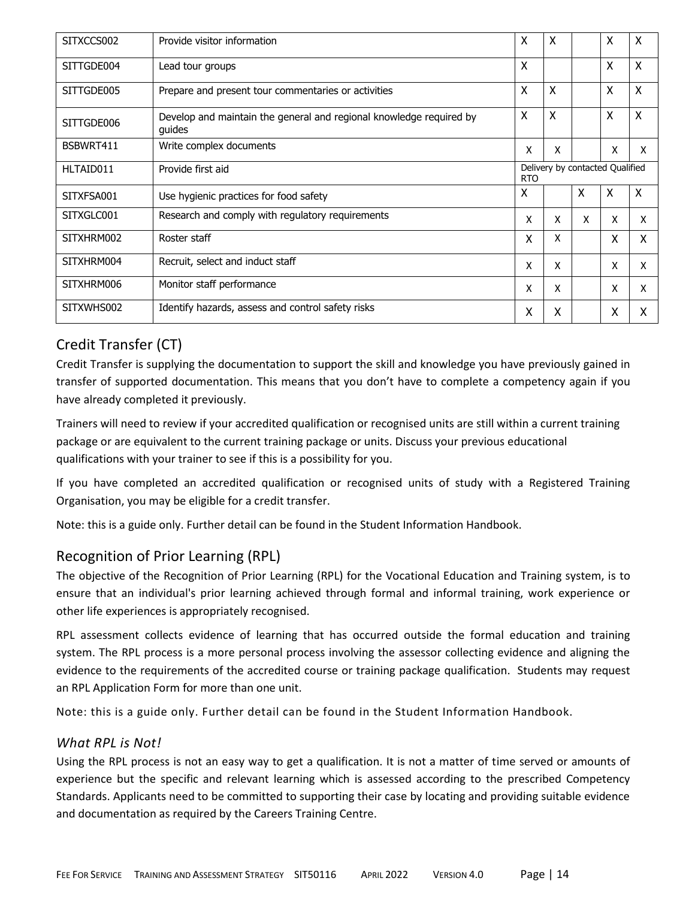| SITXCCS002 | Provide visitor information                                                   | X                                             | X                         |   | X | X |
|------------|-------------------------------------------------------------------------------|-----------------------------------------------|---------------------------|---|---|---|
| SITTGDE004 | Lead tour groups                                                              | X                                             |                           |   | X | X |
| SITTGDE005 | Prepare and present tour commentaries or activities                           | X                                             | $\boldsymbol{\mathsf{X}}$ |   | X | X |
| SITTGDE006 | Develop and maintain the general and regional knowledge required by<br>guides | $\boldsymbol{\mathsf{X}}$                     | $\boldsymbol{\mathsf{x}}$ |   | X | X |
| BSBWRT411  | Write complex documents                                                       | x                                             | x                         |   | x | x |
| HLTAID011  | Provide first aid                                                             | Delivery by contacted Qualified<br><b>RTO</b> |                           |   |   |   |
| SITXFSA001 | Use hygienic practices for food safety                                        | X                                             |                           | X | X | X |
| SITXGLC001 | Research and comply with regulatory requirements                              | x                                             | X                         | X | x | X |
| SITXHRM002 | Roster staff                                                                  | X                                             | X                         |   | x | X |
| SITXHRM004 | Recruit, select and induct staff                                              | x                                             | x                         |   | x | x |
| SITXHRM006 | Monitor staff performance                                                     | X                                             | x                         |   | x | x |
| SITXWHS002 | Identify hazards, assess and control safety risks                             | X                                             | Χ                         |   | χ | x |

# Credit Transfer (CT)

Credit Transfer is supplying the documentation to support the skill and knowledge you have previously gained in transfer of supported documentation. This means that you don't have to complete a competency again if you have already completed it previously.

Trainers will need to review if your accredited qualification or recognised units are still within a current training package or are equivalent to the current training package or units. Discuss your previous educational qualifications with your trainer to see if this is a possibility for you.

If you have completed an accredited qualification or recognised units of study with a Registered Training Organisation, you may be eligible for a credit transfer.

Note: this is a guide only. Further detail can be found in the Student Information Handbook.

# Recognition of Prior Learning (RPL)

The objective of the Recognition of Prior Learning (RPL) for the Vocational Education and Training system, is to ensure that an individual's prior learning achieved through formal and informal training, work experience or other life experiences is appropriately recognised.

RPL assessment collects evidence of learning that has occurred outside the formal education and training system. The RPL process is a more personal process involving the assessor collecting evidence and aligning the evidence to the requirements of the accredited course or training package qualification. Students may request an RPL Application Form for more than one unit.

Note: this is a guide only. Further detail can be found in the Student Information Handbook.

### *What RPL is Not!*

Using the RPL process is not an easy way to get a qualification. It is not a matter of time served or amounts of experience but the specific and relevant learning which is assessed according to the prescribed Competency Standards. Applicants need to be committed to supporting their case by locating and providing suitable evidence and documentation as required by the Careers Training Centre.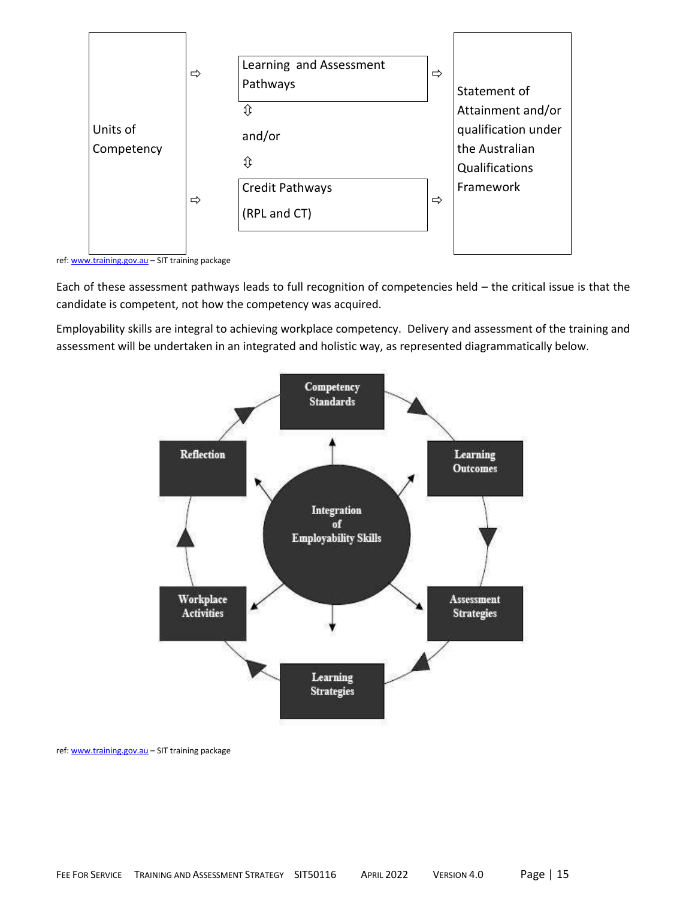

ref: [www.training.gov.au](http://www.training.gov.au/) – SIT training package

Each of these assessment pathways leads to full recognition of competencies held – the critical issue is that the candidate is competent, not how the competency was acquired.

Employability skills are integral to achieving workplace competency. Delivery and assessment of the training and assessment will be undertaken in an integrated and holistic way, as represented diagrammatically below.



ref: [www.training.gov.au](http://www.training.gov.au/) – SIT training package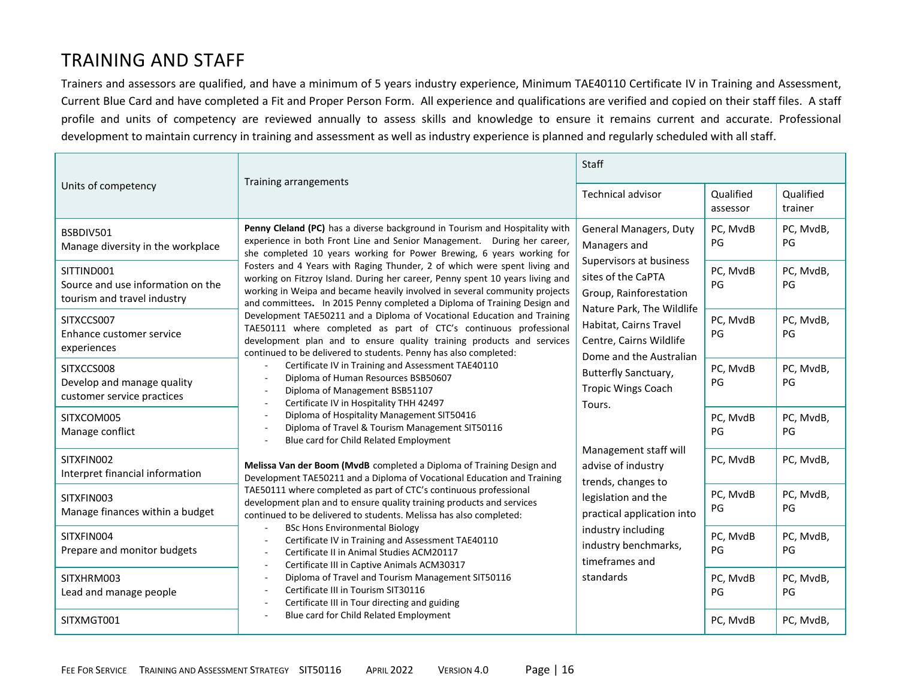# TRAINING AND STAFF

Trainers and assessors are qualified, and have a minimum of 5 years industry experience, Minimum TAE40110 Certificate IV in Training and Assessment, Current Blue Card and have completed a Fit and Proper Person Form. All experience and qualifications are verified and copied on their staff files. A staff profile and units of competency are reviewed annually to assess skills and knowledge to ensure it remains current and accurate. Professional development to maintain currency in training and assessment as well as industry experience is planned and regularly scheduled with all staff.

|                                                                                | Training arrangements                                                                                                                                                                                                                                                                                                                                                                                                                                                                                                                                                                                                                                                                                                                                                                                                                                                                                                                                                                                                                                                                                                                                                                                                                                                                                                                                                                                                                                                                                                                                                                                                                                                                            | Staff                                                                                                |                       |                      |
|--------------------------------------------------------------------------------|--------------------------------------------------------------------------------------------------------------------------------------------------------------------------------------------------------------------------------------------------------------------------------------------------------------------------------------------------------------------------------------------------------------------------------------------------------------------------------------------------------------------------------------------------------------------------------------------------------------------------------------------------------------------------------------------------------------------------------------------------------------------------------------------------------------------------------------------------------------------------------------------------------------------------------------------------------------------------------------------------------------------------------------------------------------------------------------------------------------------------------------------------------------------------------------------------------------------------------------------------------------------------------------------------------------------------------------------------------------------------------------------------------------------------------------------------------------------------------------------------------------------------------------------------------------------------------------------------------------------------------------------------------------------------------------------------|------------------------------------------------------------------------------------------------------|-----------------------|----------------------|
| Units of competency                                                            |                                                                                                                                                                                                                                                                                                                                                                                                                                                                                                                                                                                                                                                                                                                                                                                                                                                                                                                                                                                                                                                                                                                                                                                                                                                                                                                                                                                                                                                                                                                                                                                                                                                                                                  | <b>Technical advisor</b>                                                                             | Qualified<br>assessor | Qualified<br>trainer |
| BSBDIV501<br>Manage diversity in the workplace                                 | Penny Cleland (PC) has a diverse background in Tourism and Hospitality with<br>experience in both Front Line and Senior Management. During her career,<br>she completed 10 years working for Power Brewing, 6 years working for                                                                                                                                                                                                                                                                                                                                                                                                                                                                                                                                                                                                                                                                                                                                                                                                                                                                                                                                                                                                                                                                                                                                                                                                                                                                                                                                                                                                                                                                  | General Managers, Duty<br>Managers and                                                               | PC, MvdB<br>PG        | PC, MvdB,<br>PG      |
| SITTIND001<br>Source and use information on the<br>tourism and travel industry | Fosters and 4 Years with Raging Thunder, 2 of which were spent living and<br>working on Fitzroy Island. During her career, Penny spent 10 years living and<br>working in Weipa and became heavily involved in several community projects<br>and committees. In 2015 Penny completed a Diploma of Training Design and<br>Development TAE50211 and a Diploma of Vocational Education and Training<br>TAE50111 where completed as part of CTC's continuous professional<br>development plan and to ensure quality training products and services<br>continued to be delivered to students. Penny has also completed:<br>Certificate IV in Training and Assessment TAE40110<br>Diploma of Human Resources BSB50607<br>Diploma of Management BSB51107<br>Certificate IV in Hospitality THH 42497<br>Diploma of Hospitality Management SIT50416<br>Diploma of Travel & Tourism Management SIT50116<br>Blue card for Child Related Employment<br>Melissa Van der Boom (MvdB completed a Diploma of Training Design and<br>Development TAE50211 and a Diploma of Vocational Education and Training<br>TAE50111 where completed as part of CTC's continuous professional<br>development plan and to ensure quality training products and services<br>continued to be delivered to students. Melissa has also completed:<br><b>BSc Hons Environmental Biology</b><br>Certificate IV in Training and Assessment TAE40110<br>Certificate II in Animal Studies ACM20117<br>Certificate III in Captive Animals ACM30317<br>Diploma of Travel and Tourism Management SIT50116<br>Certificate III in Tourism SIT30116<br>Certificate III in Tour directing and guiding<br>Blue card for Child Related Employment | Supervisors at business<br>sites of the CaPTA<br>Group, Rainforestation<br>Nature Park, The Wildlife | PC, MvdB<br>PG        | PC, MvdB,<br>PG      |
| SITXCCS007<br>Enhance customer service<br>experiences                          |                                                                                                                                                                                                                                                                                                                                                                                                                                                                                                                                                                                                                                                                                                                                                                                                                                                                                                                                                                                                                                                                                                                                                                                                                                                                                                                                                                                                                                                                                                                                                                                                                                                                                                  | Habitat, Cairns Travel<br>Centre, Cairns Wildlife<br>Dome and the Australian                         | PC, MvdB<br>PG        | PC, MvdB,<br>PG      |
| SITXCCS008<br>Develop and manage quality<br>customer service practices         |                                                                                                                                                                                                                                                                                                                                                                                                                                                                                                                                                                                                                                                                                                                                                                                                                                                                                                                                                                                                                                                                                                                                                                                                                                                                                                                                                                                                                                                                                                                                                                                                                                                                                                  | <b>Butterfly Sanctuary,</b><br><b>Tropic Wings Coach</b><br>Tours.                                   | PC, MvdB<br>PG        | PC, MvdB,<br>PG      |
| SITXCOM005<br>Manage conflict                                                  |                                                                                                                                                                                                                                                                                                                                                                                                                                                                                                                                                                                                                                                                                                                                                                                                                                                                                                                                                                                                                                                                                                                                                                                                                                                                                                                                                                                                                                                                                                                                                                                                                                                                                                  |                                                                                                      | PC, MvdB<br>PG        | PC, MvdB,<br>PG      |
| SITXFIN002<br>Interpret financial information                                  |                                                                                                                                                                                                                                                                                                                                                                                                                                                                                                                                                                                                                                                                                                                                                                                                                                                                                                                                                                                                                                                                                                                                                                                                                                                                                                                                                                                                                                                                                                                                                                                                                                                                                                  | Management staff will<br>advise of industry<br>trends, changes to                                    | PC, MvdB              | PC, MvdB,            |
| SITXFIN003<br>Manage finances within a budget                                  |                                                                                                                                                                                                                                                                                                                                                                                                                                                                                                                                                                                                                                                                                                                                                                                                                                                                                                                                                                                                                                                                                                                                                                                                                                                                                                                                                                                                                                                                                                                                                                                                                                                                                                  | legislation and the<br>practical application into                                                    | PC, MvdB<br>PG        | PC, MvdB,<br>PG      |
| SITXFIN004<br>Prepare and monitor budgets                                      |                                                                                                                                                                                                                                                                                                                                                                                                                                                                                                                                                                                                                                                                                                                                                                                                                                                                                                                                                                                                                                                                                                                                                                                                                                                                                                                                                                                                                                                                                                                                                                                                                                                                                                  | industry including<br>industry benchmarks,<br>timeframes and                                         | PC, MvdB<br>PG        | PC, MvdB,<br>PG      |
| SITXHRM003<br>Lead and manage people                                           |                                                                                                                                                                                                                                                                                                                                                                                                                                                                                                                                                                                                                                                                                                                                                                                                                                                                                                                                                                                                                                                                                                                                                                                                                                                                                                                                                                                                                                                                                                                                                                                                                                                                                                  | standards                                                                                            | PC, MvdB<br>PG        | PC, MvdB,<br>PG      |
| SITXMGT001                                                                     |                                                                                                                                                                                                                                                                                                                                                                                                                                                                                                                                                                                                                                                                                                                                                                                                                                                                                                                                                                                                                                                                                                                                                                                                                                                                                                                                                                                                                                                                                                                                                                                                                                                                                                  |                                                                                                      | PC, MvdB              | PC, MvdB,            |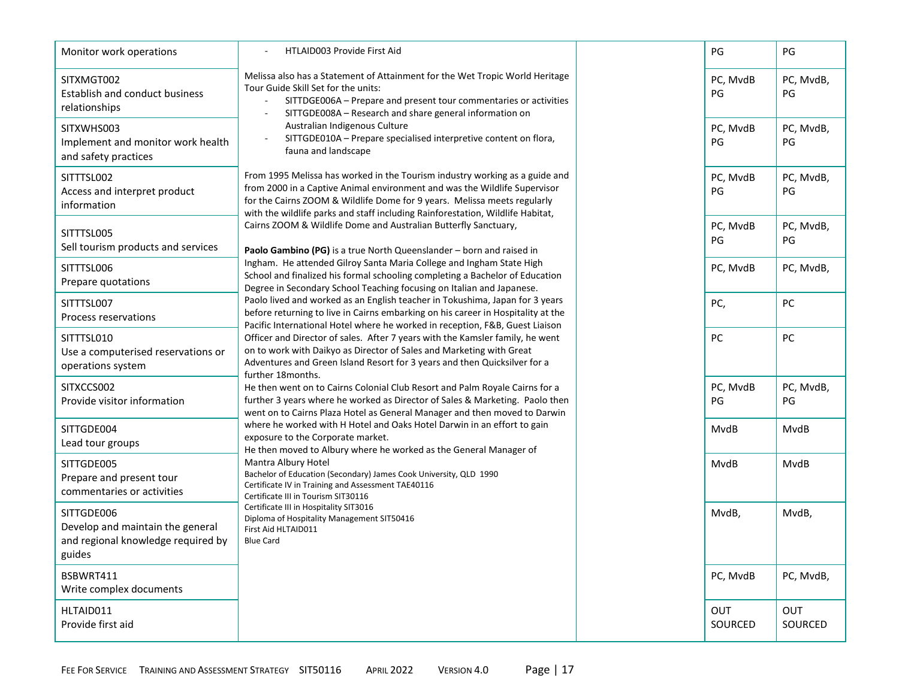| Monitor work operations                                                                        | <b>HTLAID003 Provide First Aid</b>                                                                                                                                                                                                                                                                                                                                                                                                                                                                                                                                                                                                                                                                                                                                                                                                                                                                                                                                                                                                                                                                                                                                                                                                                                                                                                                                                                                                                                                                                                                                                                                                                                                                                                                                                                                                                                                                                                                                                                                                                                                                                                                                                                                                                                                                                                                                |                | PG                    | PG                    |
|------------------------------------------------------------------------------------------------|-------------------------------------------------------------------------------------------------------------------------------------------------------------------------------------------------------------------------------------------------------------------------------------------------------------------------------------------------------------------------------------------------------------------------------------------------------------------------------------------------------------------------------------------------------------------------------------------------------------------------------------------------------------------------------------------------------------------------------------------------------------------------------------------------------------------------------------------------------------------------------------------------------------------------------------------------------------------------------------------------------------------------------------------------------------------------------------------------------------------------------------------------------------------------------------------------------------------------------------------------------------------------------------------------------------------------------------------------------------------------------------------------------------------------------------------------------------------------------------------------------------------------------------------------------------------------------------------------------------------------------------------------------------------------------------------------------------------------------------------------------------------------------------------------------------------------------------------------------------------------------------------------------------------------------------------------------------------------------------------------------------------------------------------------------------------------------------------------------------------------------------------------------------------------------------------------------------------------------------------------------------------------------------------------------------------------------------------------------------------|----------------|-----------------------|-----------------------|
| SITXMGT002<br>Establish and conduct business<br>relationships                                  | Melissa also has a Statement of Attainment for the Wet Tropic World Heritage<br>Tour Guide Skill Set for the units:<br>SITTDGE006A - Prepare and present tour commentaries or activities<br>SITTGDE008A - Research and share general information on<br>Australian Indigenous Culture<br>SITTGDE010A - Prepare specialised interpretive content on flora,<br>fauna and landscape<br>From 1995 Melissa has worked in the Tourism industry working as a guide and<br>from 2000 in a Captive Animal environment and was the Wildlife Supervisor<br>for the Cairns ZOOM & Wildlife Dome for 9 years. Melissa meets regularly<br>with the wildlife parks and staff including Rainforestation, Wildlife Habitat,<br>Cairns ZOOM & Wildlife Dome and Australian Butterfly Sanctuary,<br>Paolo Gambino (PG) is a true North Queenslander - born and raised in<br>Ingham. He attended Gilroy Santa Maria College and Ingham State High<br>School and finalized his formal schooling completing a Bachelor of Education<br>Degree in Secondary School Teaching focusing on Italian and Japanese.<br>Paolo lived and worked as an English teacher in Tokushima, Japan for 3 years<br>before returning to live in Cairns embarking on his career in Hospitality at the<br>Pacific International Hotel where he worked in reception, F&B, Guest Liaison<br>Officer and Director of sales. After 7 years with the Kamsler family, he went<br>on to work with Daikyo as Director of Sales and Marketing with Great<br>Adventures and Green Island Resort for 3 years and then Quicksilver for a<br>further 18months.<br>He then went on to Cairns Colonial Club Resort and Palm Royale Cairns for a<br>further 3 years where he worked as Director of Sales & Marketing. Paolo then<br>went on to Cairns Plaza Hotel as General Manager and then moved to Darwin<br>where he worked with H Hotel and Oaks Hotel Darwin in an effort to gain<br>exposure to the Corporate market.<br>He then moved to Albury where he worked as the General Manager of<br>Mantra Albury Hotel<br>Bachelor of Education (Secondary) James Cook University, QLD 1990<br>Certificate IV in Training and Assessment TAE40116<br>Certificate III in Tourism SIT30116<br>Certificate III in Hospitality SIT3016<br>Diploma of Hospitality Management SIT50416<br>First Aid HLTAID011<br><b>Blue Card</b> | PC, MvdB<br>PG | PC, MvdB,<br>PG       |                       |
| SITXWHS003<br>Implement and monitor work health<br>and safety practices                        |                                                                                                                                                                                                                                                                                                                                                                                                                                                                                                                                                                                                                                                                                                                                                                                                                                                                                                                                                                                                                                                                                                                                                                                                                                                                                                                                                                                                                                                                                                                                                                                                                                                                                                                                                                                                                                                                                                                                                                                                                                                                                                                                                                                                                                                                                                                                                                   |                | PC, MvdB<br>PG        | PC, MvdB,<br>PG       |
| SITTTSL002<br>Access and interpret product<br>information                                      |                                                                                                                                                                                                                                                                                                                                                                                                                                                                                                                                                                                                                                                                                                                                                                                                                                                                                                                                                                                                                                                                                                                                                                                                                                                                                                                                                                                                                                                                                                                                                                                                                                                                                                                                                                                                                                                                                                                                                                                                                                                                                                                                                                                                                                                                                                                                                                   | PC, MvdB<br>PG | PC, MvdB,<br>PG       |                       |
| SITTTSL005<br>Sell tourism products and services                                               |                                                                                                                                                                                                                                                                                                                                                                                                                                                                                                                                                                                                                                                                                                                                                                                                                                                                                                                                                                                                                                                                                                                                                                                                                                                                                                                                                                                                                                                                                                                                                                                                                                                                                                                                                                                                                                                                                                                                                                                                                                                                                                                                                                                                                                                                                                                                                                   |                | PC, MvdB<br>PG        | PC, MvdB,<br>PG       |
| SITTTSL006<br>Prepare quotations                                                               |                                                                                                                                                                                                                                                                                                                                                                                                                                                                                                                                                                                                                                                                                                                                                                                                                                                                                                                                                                                                                                                                                                                                                                                                                                                                                                                                                                                                                                                                                                                                                                                                                                                                                                                                                                                                                                                                                                                                                                                                                                                                                                                                                                                                                                                                                                                                                                   | PC, MvdB       | PC, MvdB,             |                       |
| SITTTSL007<br>Process reservations                                                             |                                                                                                                                                                                                                                                                                                                                                                                                                                                                                                                                                                                                                                                                                                                                                                                                                                                                                                                                                                                                                                                                                                                                                                                                                                                                                                                                                                                                                                                                                                                                                                                                                                                                                                                                                                                                                                                                                                                                                                                                                                                                                                                                                                                                                                                                                                                                                                   | PC,            | PC                    |                       |
| SITTTSL010<br>Use a computerised reservations or<br>operations system                          |                                                                                                                                                                                                                                                                                                                                                                                                                                                                                                                                                                                                                                                                                                                                                                                                                                                                                                                                                                                                                                                                                                                                                                                                                                                                                                                                                                                                                                                                                                                                                                                                                                                                                                                                                                                                                                                                                                                                                                                                                                                                                                                                                                                                                                                                                                                                                                   | PC             | PC                    |                       |
| SITXCCS002<br>Provide visitor information                                                      |                                                                                                                                                                                                                                                                                                                                                                                                                                                                                                                                                                                                                                                                                                                                                                                                                                                                                                                                                                                                                                                                                                                                                                                                                                                                                                                                                                                                                                                                                                                                                                                                                                                                                                                                                                                                                                                                                                                                                                                                                                                                                                                                                                                                                                                                                                                                                                   |                | PC, MvdB<br>PG        | PC, MvdB,<br>PG       |
| SITTGDE004<br>Lead tour groups                                                                 |                                                                                                                                                                                                                                                                                                                                                                                                                                                                                                                                                                                                                                                                                                                                                                                                                                                                                                                                                                                                                                                                                                                                                                                                                                                                                                                                                                                                                                                                                                                                                                                                                                                                                                                                                                                                                                                                                                                                                                                                                                                                                                                                                                                                                                                                                                                                                                   |                | MvdB                  | MvdB                  |
| SITTGDE005<br>Prepare and present tour<br>commentaries or activities                           |                                                                                                                                                                                                                                                                                                                                                                                                                                                                                                                                                                                                                                                                                                                                                                                                                                                                                                                                                                                                                                                                                                                                                                                                                                                                                                                                                                                                                                                                                                                                                                                                                                                                                                                                                                                                                                                                                                                                                                                                                                                                                                                                                                                                                                                                                                                                                                   | MvdB           | <b>MvdB</b>           |                       |
| SITTGDE006<br>Develop and maintain the general<br>and regional knowledge required by<br>guides |                                                                                                                                                                                                                                                                                                                                                                                                                                                                                                                                                                                                                                                                                                                                                                                                                                                                                                                                                                                                                                                                                                                                                                                                                                                                                                                                                                                                                                                                                                                                                                                                                                                                                                                                                                                                                                                                                                                                                                                                                                                                                                                                                                                                                                                                                                                                                                   |                | MvdB,                 | MvdB,                 |
| BSBWRT411<br>Write complex documents                                                           |                                                                                                                                                                                                                                                                                                                                                                                                                                                                                                                                                                                                                                                                                                                                                                                                                                                                                                                                                                                                                                                                                                                                                                                                                                                                                                                                                                                                                                                                                                                                                                                                                                                                                                                                                                                                                                                                                                                                                                                                                                                                                                                                                                                                                                                                                                                                                                   |                | PC, MvdB              | PC, MvdB,             |
| HLTAID011<br>Provide first aid                                                                 |                                                                                                                                                                                                                                                                                                                                                                                                                                                                                                                                                                                                                                                                                                                                                                                                                                                                                                                                                                                                                                                                                                                                                                                                                                                                                                                                                                                                                                                                                                                                                                                                                                                                                                                                                                                                                                                                                                                                                                                                                                                                                                                                                                                                                                                                                                                                                                   |                | <b>OUT</b><br>SOURCED | <b>OUT</b><br>SOURCED |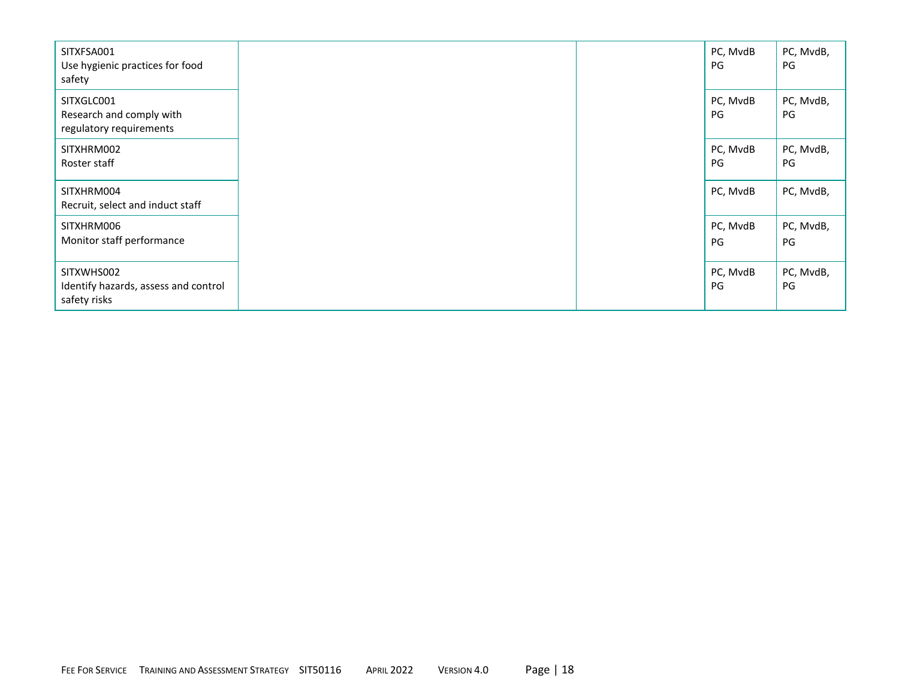| SITXFSA001<br>Use hygienic practices for food<br>safety            |  | PC, MvdB<br>PG | PC, MvdB,<br>PG |
|--------------------------------------------------------------------|--|----------------|-----------------|
| SITXGLC001<br>Research and comply with<br>regulatory requirements  |  | PC, MvdB<br>PG | PC, MvdB,<br>PG |
| SITXHRM002<br>Roster staff                                         |  | PC, MvdB<br>PG | PC, MvdB,<br>PG |
| SITXHRM004<br>Recruit, select and induct staff                     |  | PC, MvdB       | PC, MvdB,       |
| SITXHRM006<br>Monitor staff performance                            |  | PC, MvdB<br>PG | PC, MvdB,<br>PG |
| SITXWHS002<br>Identify hazards, assess and control<br>safety risks |  | PC, MvdB<br>PG | PC, MvdB,<br>PG |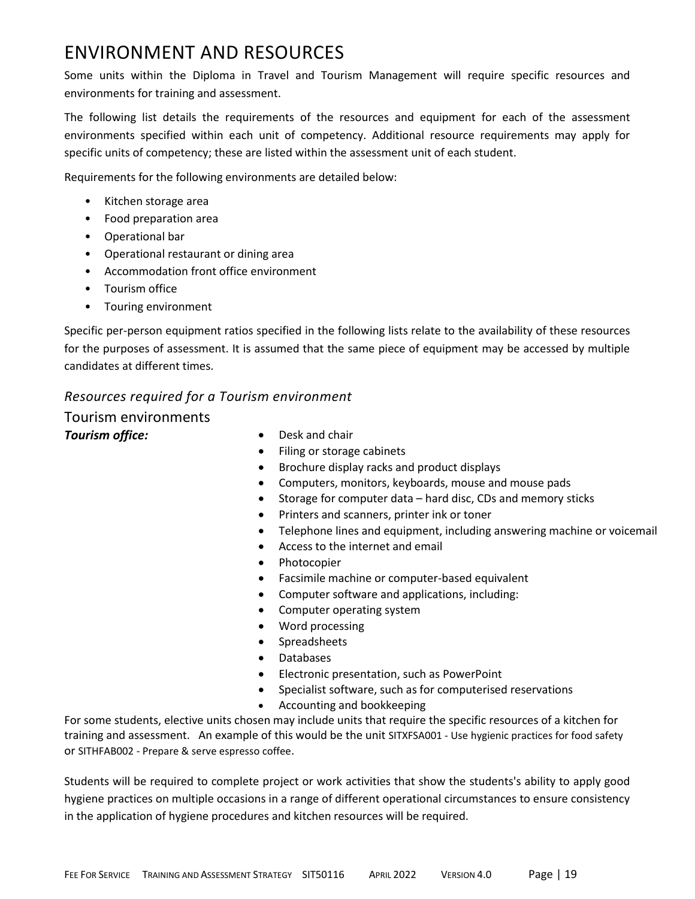# ENVIRONMENT AND RESOURCES

Some units within the Diploma in Travel and Tourism Management will require specific resources and environments for training and assessment.

The following list details the requirements of the resources and equipment for each of the assessment environments specified within each unit of competency. Additional resource requirements may apply for specific units of competency; these are listed within the assessment unit of each student.

Requirements for the following environments are detailed below:

- Kitchen storage area
- Food preparation area
- Operational bar
- Operational restaurant or dining area
- Accommodation front office environment
- Tourism office
- Touring environment

Specific per-person equipment ratios specified in the following lists relate to the availability of these resources for the purposes of assessment. It is assumed that the same piece of equipment may be accessed by multiple candidates at different times.

### *Resources required for a Tourism environment*

Tourism environments **Tourism office: •** Desk and chair

- 
- Filing or storage cabinets
- Brochure display racks and product displays
- Computers, monitors, keyboards, mouse and mouse pads
- Storage for computer data hard disc, CDs and memory sticks
- Printers and scanners, printer ink or toner
- Telephone lines and equipment, including answering machine or voicemail
- Access to the internet and email
- Photocopier
- Facsimile machine or computer-based equivalent
- Computer software and applications, including:
- Computer operating system
- Word processing
- Spreadsheets
- Databases
- Electronic presentation, such as PowerPoint
- Specialist software, such as for computerised reservations
- Accounting and bookkeeping

For some students, elective units chosen may include units that require the specific resources of a kitchen for training and assessment. An example of this would be the unit SITXFSA001 - Use hygienic practices for food safety or SITHFAB002 - Prepare & serve espresso coffee.

Students will be required to complete project or work activities that show the students's ability to apply good hygiene practices on multiple occasions in a range of different operational circumstances to ensure consistency in the application of hygiene procedures and kitchen resources will be required.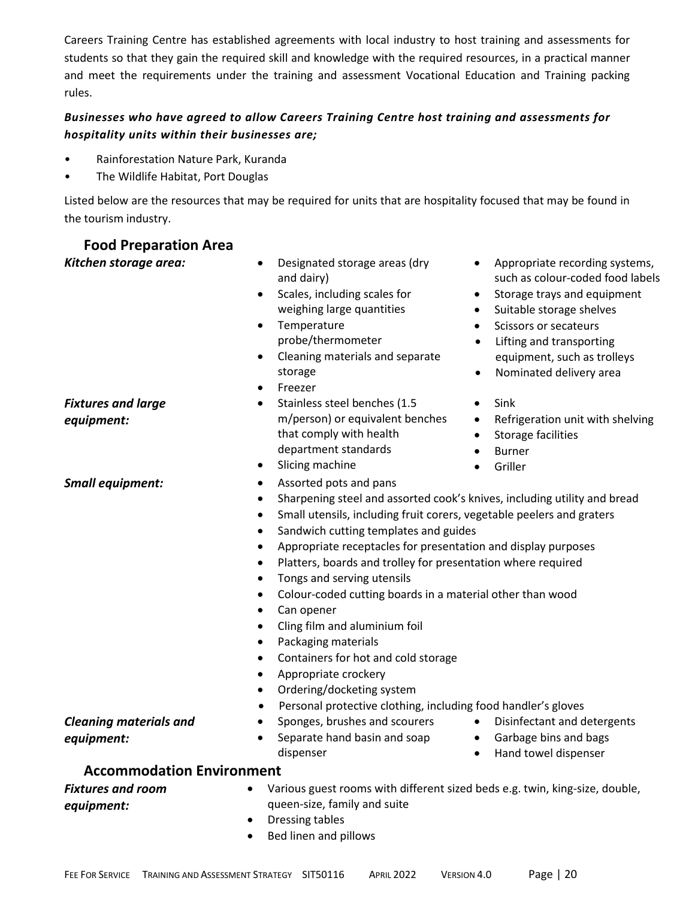Careers Training Centre has established agreements with local industry to host training and assessments for students so that they gain the required skill and knowledge with the required resources, in a practical manner and meet the requirements under the training and assessment Vocational Education and Training packing rules.

### *Businesses who have agreed to allow Careers Training Centre host training and assessments for hospitality units within their businesses are;*

- Rainforestation Nature Park, Kuranda
- The Wildlife Habitat, Port Douglas

Listed below are the resources that may be required for units that are hospitality focused that may be found in the tourism industry.

### **Food Preparation Area**

*Fixtures and large* 

*equipment:*

- *Kitchen storage area:* Designated storage areas (dry and dairy)
	- Scales, including scales for weighing large quantities
	- Temperature probe/thermometer
	- Cleaning materials and separate storage
	- **Freezer**
	- Stainless steel benches (1.5 m/person) or equivalent benches that comply with health department standards
	- Slicing machine
- **Small equipment:** Assorted pots and pans
- Appropriate recording systems, such as colour-coded food labels • Storage trays and equipment
- Suitable storage shelves
- Scissors or secateurs
- Lifting and transporting equipment, such as trolleys
- Nominated delivery area
- Sink
- Refrigeration unit with shelving
- Storage facilities
- Burner
- Griller
- Sharpening steel and assorted cook's knives, including utility and bread
- Small utensils, including fruit corers, vegetable peelers and graters
- Sandwich cutting templates and guides
- Appropriate receptacles for presentation and display purposes
- Platters, boards and trolley for presentation where required
- Tongs and serving utensils
- Colour-coded cutting boards in a material other than wood
- Can opener
- Cling film and aluminium foil
- Packaging materials
- Containers for hot and cold storage
- Appropriate crockery
- Ordering/docketing system
- Personal protective clothing, including food handler's gloves

### • Sponges, brushes and scourers

#### *Cleaning materials and equipment:*

- Separate hand basin and soap dispenser
- Disinfectant and detergents
- Garbage bins and bags
- Hand towel dispenser

### **Accommodation Environment**

#### *Fixtures and room equipment:*

- Various guest rooms with different sized beds e.g. twin, king-size, double, queen-size, family and suite
- Dressing tables
- Bed linen and pillows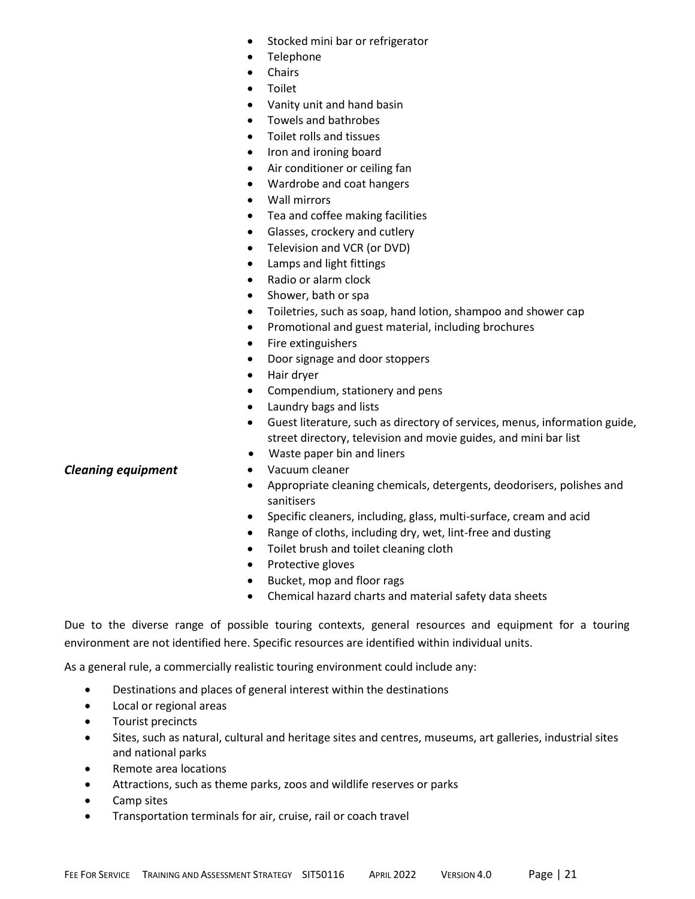- Stocked mini bar or refrigerator
- Telephone
- Chairs
- Toilet
- Vanity unit and hand basin
- Towels and bathrobes
- Toilet rolls and tissues
- Iron and ironing board
- Air conditioner or ceiling fan
- Wardrobe and coat hangers
- Wall mirrors
- Tea and coffee making facilities
- Glasses, crockery and cutlery
- Television and VCR (or DVD)
- Lamps and light fittings
- Radio or alarm clock
- Shower, bath or spa
- Toiletries, such as soap, hand lotion, shampoo and shower cap
- Promotional and guest material, including brochures
- Fire extinguishers
- Door signage and door stoppers
- Hair dryer
- Compendium, stationery and pens
- Laundry bags and lists
- Guest literature, such as directory of services, menus, information guide, street directory, television and movie guides, and mini bar list
- Waste paper bin and liners
- 
- Appropriate cleaning chemicals, detergents, deodorisers, polishes and sanitisers
- Specific cleaners, including, glass, multi-surface, cream and acid
- Range of cloths, including dry, wet, lint-free and dusting
- Toilet brush and toilet cleaning cloth
- Protective gloves
- Bucket, mop and floor rags
- Chemical hazard charts and material safety data sheets

Due to the diverse range of possible touring contexts, general resources and equipment for a touring environment are not identified here. Specific resources are identified within individual units.

As a general rule, a commercially realistic touring environment could include any:

- Destinations and places of general interest within the destinations
- Local or regional areas
- Tourist precincts
- Sites, such as natural, cultural and heritage sites and centres, museums, art galleries, industrial sites and national parks
- Remote area locations
- Attractions, such as theme parks, zoos and wildlife reserves or parks
- Camp sites
- Transportation terminals for air, cruise, rail or coach travel

### **Cleaning equipment** • Vacuum cleaner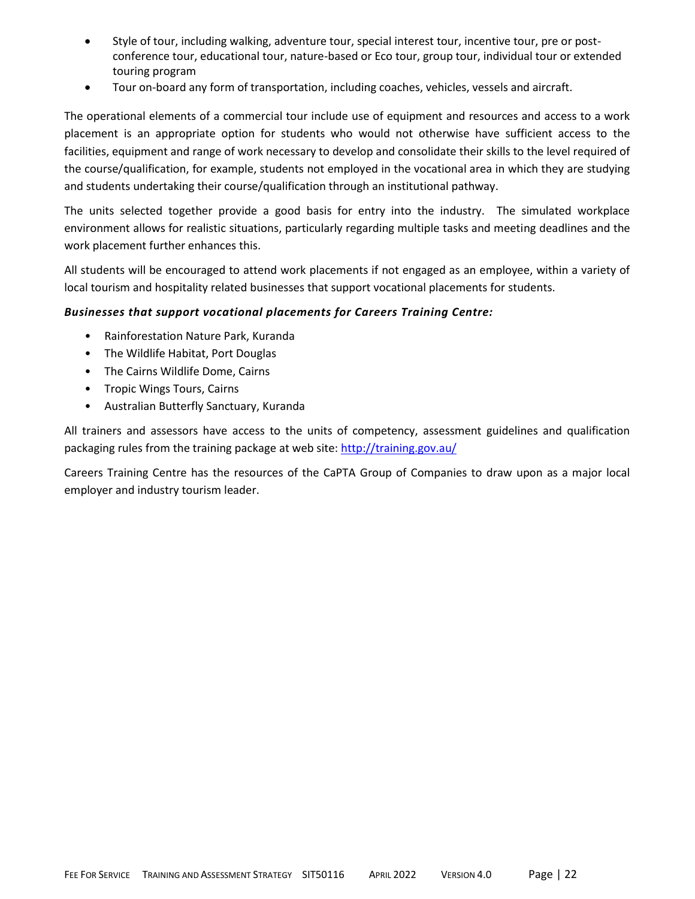- Style of tour, including walking, adventure tour, special interest tour, incentive tour, pre or postconference tour, educational tour, nature-based or Eco tour, group tour, individual tour or extended touring program
- Tour on-board any form of transportation, including coaches, vehicles, vessels and aircraft.

The operational elements of a commercial tour include use of equipment and resources and access to a work placement is an appropriate option for students who would not otherwise have sufficient access to the facilities, equipment and range of work necessary to develop and consolidate their skills to the level required of the course/qualification, for example, students not employed in the vocational area in which they are studying and students undertaking their course/qualification through an institutional pathway.

The units selected together provide a good basis for entry into the industry. The simulated workplace environment allows for realistic situations, particularly regarding multiple tasks and meeting deadlines and the work placement further enhances this.

All students will be encouraged to attend work placements if not engaged as an employee, within a variety of local tourism and hospitality related businesses that support vocational placements for students.

### *Businesses that support vocational placements for Careers Training Centre:*

- Rainforestation Nature Park, Kuranda
- The Wildlife Habitat, Port Douglas
- The Cairns Wildlife Dome, Cairns
- Tropic Wings Tours, Cairns
- Australian Butterfly Sanctuary, Kuranda

All trainers and assessors have access to the units of competency, assessment guidelines and qualification packaging rules from the training package at web site:<http://training.gov.au/>

Careers Training Centre has the resources of the CaPTA Group of Companies to draw upon as a major local employer and industry tourism leader.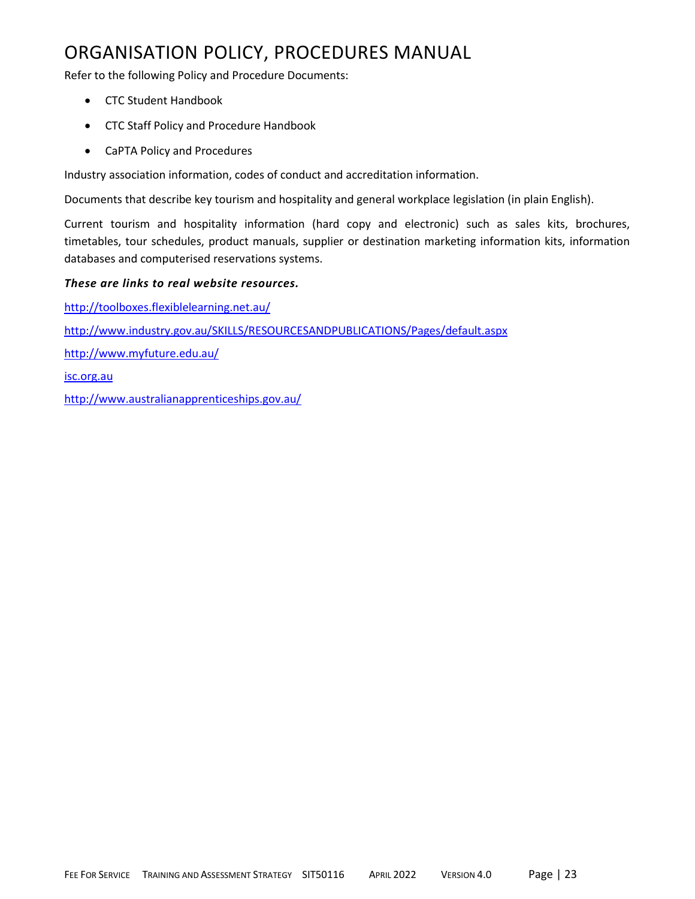# ORGANISATION POLICY, PROCEDURES MANUAL

Refer to the following Policy and Procedure Documents:

- CTC Student Handbook
- CTC Staff Policy and Procedure Handbook
- CaPTA Policy and Procedures

Industry association information, codes of conduct and accreditation information.

Documents that describe key tourism and hospitality and general workplace legislation (in plain English).

Current tourism and hospitality information (hard copy and electronic) such as sales kits, brochures, timetables, tour schedules, product manuals, supplier or destination marketing information kits, information databases and computerised reservations systems.

### *These are links to real website resources.*

<http://toolboxes.flexiblelearning.net.au/> <http://www.industry.gov.au/SKILLS/RESOURCESANDPUBLICATIONS/Pages/default.aspx> <http://www.myfuture.edu.au/> [isc.org.au](http://www.isc.org.au/) <http://www.australianapprenticeships.gov.au/>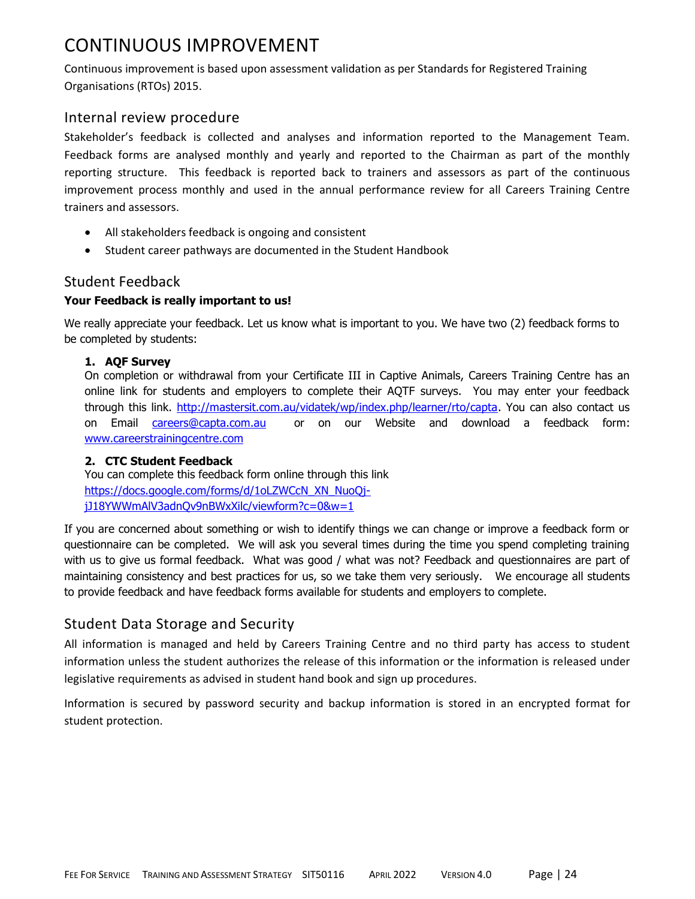# CONTINUOUS IMPROVEMENT

Continuous improvement is based upon assessment validation as per Standards for Registered Training Organisations (RTOs) 2015.

### Internal review procedure

Stakeholder's feedback is collected and analyses and information reported to the Management Team. Feedback forms are analysed monthly and yearly and reported to the Chairman as part of the monthly reporting structure. This feedback is reported back to trainers and assessors as part of the continuous improvement process monthly and used in the annual performance review for all Careers Training Centre trainers and assessors.

- All stakeholders feedback is ongoing and consistent
- Student career pathways are documented in the Student Handbook

### Student Feedback

### **Your Feedback is really important to us!**

We really appreciate your feedback. Let us know what is important to you. We have two (2) feedback forms to be completed by students:

### **1. AQF Survey**

On completion or withdrawal from your Certificate III in Captive Animals, Careers Training Centre has an online link for students and employers to complete their AQTF surveys. You may enter your feedback through this link. [http://mastersit.com.au/vidatek/wp/index.php/learner/rto/capta.](http://mastersit.com.au/vidatek/wp/index.php/learner/rto/capta) You can also contact us on Email [careers@capta.com.au](mailto:careers@capta.com.au) or on our Website and download a feedback form: [www.careerstrainingcentre.com](http://www.careerstrainingcentre.com/)

### **2. CTC Student Feedback**

You can complete this feedback form online through this link [https://docs.google.com/forms/d/1oLZWCcN\\_XN\\_NuoQj](https://docs.google.com/forms/d/1oLZWCcN_XN_NuoQj-jJ18YWWmAlV3adnQv9nBWxXilc/viewform?c=0&w=1)[jJ18YWWmAlV3adnQv9nBWxXilc/viewform?c=0&w=1](https://docs.google.com/forms/d/1oLZWCcN_XN_NuoQj-jJ18YWWmAlV3adnQv9nBWxXilc/viewform?c=0&w=1)

If you are concerned about something or wish to identify things we can change or improve a feedback form or questionnaire can be completed. We will ask you several times during the time you spend completing training with us to give us formal feedback. What was good / what was not? Feedback and questionnaires are part of maintaining consistency and best practices for us, so we take them very seriously. We encourage all students to provide feedback and have feedback forms available for students and employers to complete.

### Student Data Storage and Security

All information is managed and held by Careers Training Centre and no third party has access to student information unless the student authorizes the release of this information or the information is released under legislative requirements as advised in student hand book and sign up procedures.

Information is secured by password security and backup information is stored in an encrypted format for student protection.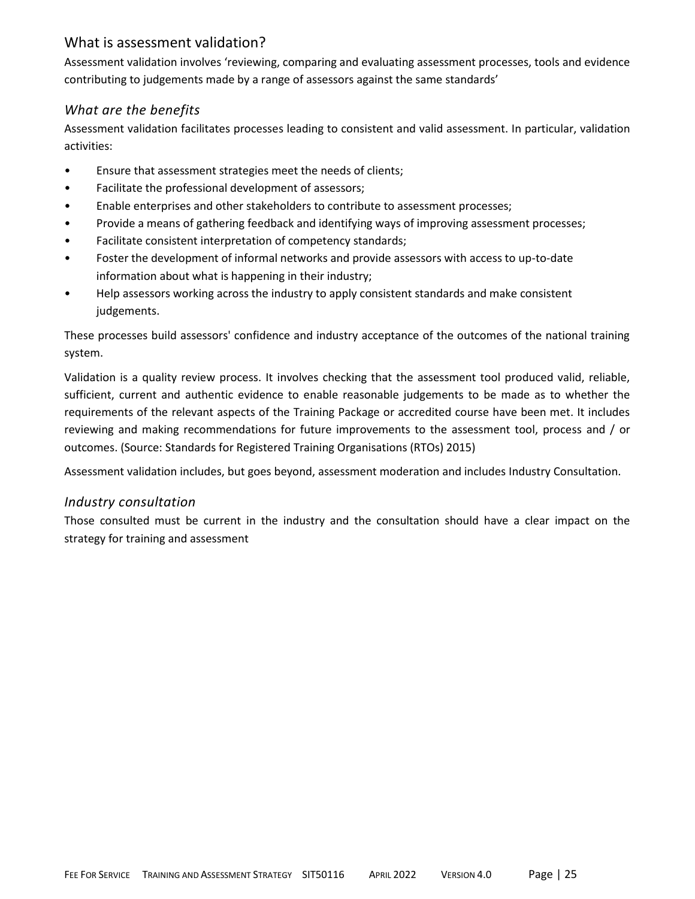### What is assessment validation?

Assessment validation involves 'reviewing, comparing and evaluating assessment processes, tools and evidence contributing to judgements made by a range of assessors against the same standards'

### *What are the benefits*

Assessment validation facilitates processes leading to consistent and valid assessment. In particular, validation activities:

- Ensure that assessment strategies meet the needs of clients;
- Facilitate the professional development of assessors;
- Enable enterprises and other stakeholders to contribute to assessment processes;
- Provide a means of gathering feedback and identifying ways of improving assessment processes;
- Facilitate consistent interpretation of competency standards;
- Foster the development of informal networks and provide assessors with access to up-to-date information about what is happening in their industry;
- Help assessors working across the industry to apply consistent standards and make consistent judgements.

These processes build assessors' confidence and industry acceptance of the outcomes of the national training system.

Validation is a quality review process. It involves checking that the assessment tool produced valid, reliable, sufficient, current and authentic evidence to enable reasonable judgements to be made as to whether the requirements of the relevant aspects of the Training Package or accredited course have been met. It includes reviewing and making recommendations for future improvements to the assessment tool, process and / or outcomes. (Source: Standards for Registered Training Organisations (RTOs) 2015)

Assessment validation includes, but goes beyond, assessment moderation and includes Industry Consultation.

### *Industry consultation*

Those consulted must be current in the industry and the consultation should have a clear impact on the strategy for training and assessment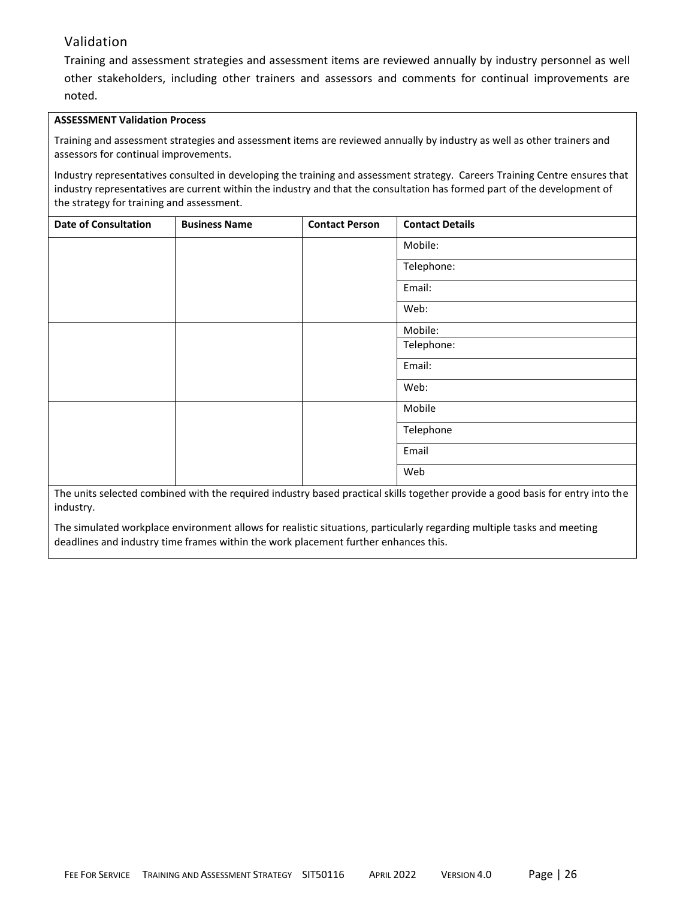### Validation

Training and assessment strategies and assessment items are reviewed annually by industry personnel as well other stakeholders, including other trainers and assessors and comments for continual improvements are noted.

#### **ASSESSMENT Validation Process**

Training and assessment strategies and assessment items are reviewed annually by industry as well as other trainers and assessors for continual improvements.

Industry representatives consulted in developing the training and assessment strategy. Careers Training Centre ensures that industry representatives are current within the industry and that the consultation has formed part of the development of the strategy for training and assessment.

| <b>Date of Consultation</b> | <b>Business Name</b> | <b>Contact Person</b> | <b>Contact Details</b> |
|-----------------------------|----------------------|-----------------------|------------------------|
|                             |                      |                       | Mobile:                |
|                             |                      |                       | Telephone:             |
|                             |                      |                       | Email:                 |
|                             |                      |                       | Web:                   |
|                             |                      |                       | Mobile:                |
|                             |                      |                       | Telephone:             |
|                             |                      |                       | Email:                 |
|                             |                      |                       | Web:                   |
|                             |                      |                       | Mobile                 |
|                             |                      |                       | Telephone              |
|                             |                      |                       | Email                  |
|                             |                      |                       | Web                    |

The units selected combined with the required industry based practical skills together provide a good basis for entry into the industry.

The simulated workplace environment allows for realistic situations, particularly regarding multiple tasks and meeting deadlines and industry time frames within the work placement further enhances this.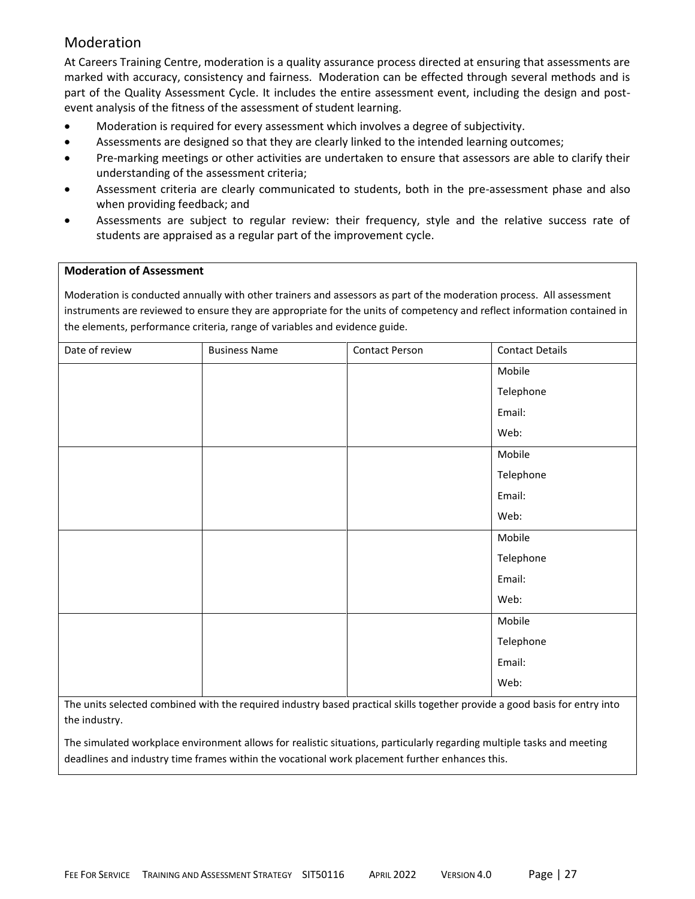### Moderation

At Careers Training Centre, moderation is a quality assurance process directed at ensuring that assessments are marked with accuracy, consistency and fairness. Moderation can be effected through several methods and is part of the Quality Assessment Cycle. It includes the entire assessment event, including the design and postevent analysis of the fitness of the assessment of student learning.

- Moderation is required for every assessment which involves a degree of subjectivity.
- Assessments are designed so that they are clearly linked to the intended learning outcomes;
- Pre-marking meetings or other activities are undertaken to ensure that assessors are able to clarify their understanding of the assessment criteria;
- Assessment criteria are clearly communicated to students, both in the pre-assessment phase and also when providing feedback; and
- Assessments are subject to regular review: their frequency, style and the relative success rate of students are appraised as a regular part of the improvement cycle.

#### **Moderation of Assessment**

Moderation is conducted annually with other trainers and assessors as part of the moderation process. All assessment instruments are reviewed to ensure they are appropriate for the units of competency and reflect information contained in the elements, performance criteria, range of variables and evidence guide.

| Date of review | <b>Business Name</b> | <b>Contact Person</b> | <b>Contact Details</b> |
|----------------|----------------------|-----------------------|------------------------|
|                |                      |                       | Mobile                 |
|                |                      |                       | Telephone              |
|                |                      |                       | Email:                 |
|                |                      |                       | Web:                   |
|                |                      |                       | Mobile                 |
|                |                      |                       | Telephone              |
|                |                      |                       | Email:                 |
|                |                      |                       | Web:                   |
|                |                      |                       | Mobile                 |
|                |                      |                       | Telephone              |
|                |                      |                       | Email:                 |
|                |                      |                       | Web:                   |
|                |                      |                       | Mobile                 |
|                |                      |                       | Telephone              |
|                |                      |                       | Email:                 |
|                |                      |                       | Web:                   |
|                |                      |                       |                        |

The units selected combined with the required industry based practical skills together provide a good basis for entry into the industry.

The simulated workplace environment allows for realistic situations, particularly regarding multiple tasks and meeting deadlines and industry time frames within the vocational work placement further enhances this.